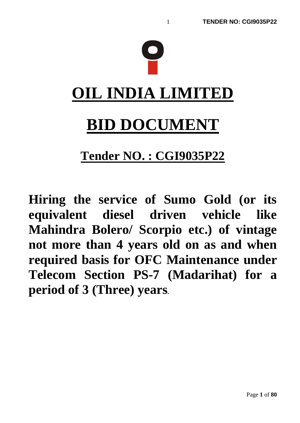

# **Tender NO. : CGI9035P22**

**Hiring the service of Sumo Gold (or its equivalent diesel driven vehicle like Mahindra Bolero/ Scorpio etc.) of vintage not more than 4 years old on as and when required basis for OFC Maintenance under Telecom Section PS-7 (Madarihat) for a period of 3 (Three) years.**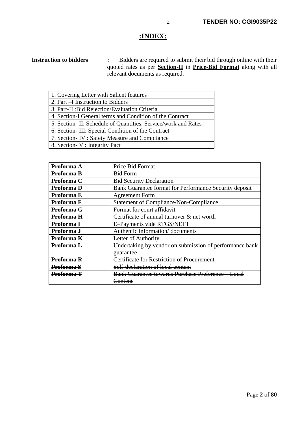# **:INDEX:**

**Instruction to bidders :** Bidders are required to submit their bid through online with their quoted rates as per **Section-II** in **Price-Bid Format** along with all relevant documents as required.

| 1. Covering Letter with Salient features                        |  |  |
|-----------------------------------------------------------------|--|--|
| 2. Part –I Instruction to Bidders                               |  |  |
| 3. Part-II : Bid Rejection/Evaluation Criteria                  |  |  |
| 4. Section-I General terms and Condition of the Contract        |  |  |
| 5. Section - II: Schedule of Quantities, Service/work and Rates |  |  |
| 6. Section-III: Special Condition of the Contract               |  |  |
| 7. Section - IV : Safety Measure and Compliance                 |  |  |
| 8. Section - V : Integrity Pact                                 |  |  |

| Proforma A        | Price Bid Format                                        |  |  |
|-------------------|---------------------------------------------------------|--|--|
| Proforma B        | <b>Bid Form</b>                                         |  |  |
| Proforma C        | <b>Bid Security Declaration</b>                         |  |  |
| Proforma D        | Bank Guarantee format for Performance Security deposit  |  |  |
| Proforma E        | <b>Agreement Form</b>                                   |  |  |
| Proforma F        | <b>Statement of Compliance/Non-Compliance</b>           |  |  |
| Proforma G        | Format for court affidavit                              |  |  |
| Proforma H        | Certificate of annual turnover $\&$ net worth           |  |  |
| Proforma I        | E-Payments vide RTGS/NEFT                               |  |  |
| Proforma J        | Authentic information/documents                         |  |  |
| Proforma K        | Letter of Authority                                     |  |  |
| Proforma L        | Undertaking by vendor on submission of performance bank |  |  |
|                   | guarantee                                               |  |  |
| Proforma R        | Certificate for Restriction of Procuremen               |  |  |
| Proforma S        | Self-declaration of local content                       |  |  |
| <u>Proforma T</u> | <b>Bank Guarantee towards Purchase Preference</b>       |  |  |
|                   | ontent                                                  |  |  |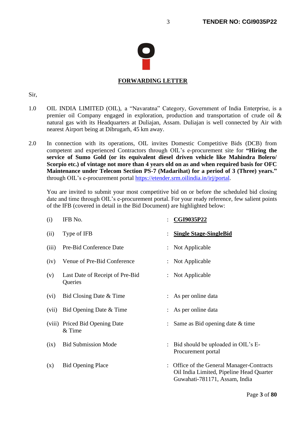

# **FORWARDING LETTER**

#### Sir,

- 1.0 OIL INDIA LIMITED (OIL), a "Navaratna" Category, Government of India Enterprise, is a premier oil Company engaged in exploration, production and transportation of crude oil & natural gas with its Headquarters at Duliajan, Assam. Duliajan is well connected by Air with nearest Airport being at Dibrugarh, 45 km away.
- 2.0 In connection with its operations, OIL invites Domestic Competitive Bids (DCB) from competent and experienced Contractors through OIL's e-procurement site for **"Hiring the service of Sumo Gold (or its equivalent diesel driven vehicle like Mahindra Bolero/ Scorpio etc.) of vintage not more than 4 years old on as and when required basis for OFC Maintenance under Telecom Section PS-7 (Madarihat) for a period of 3 (Three) years."** through OIL's e-procurement portal [https://etender.srm.oilindia.in/irj/portal.](https://etender.srm.oilindia.in/irj/portal)

You are invited to submit your most competitive bid on or before the scheduled bid closing date and time through OIL's e-procurement portal. For your ready reference, few salient points of the IFB (covered in detail in the Bid Document) are highlighted below:

| (i)   | IFB No.                                    | $\ddot{\phantom{0}}$ | CGI9035P22                                                                                                           |
|-------|--------------------------------------------|----------------------|----------------------------------------------------------------------------------------------------------------------|
| (ii)  | Type of IFB                                |                      | <b>Single Stage-SingleBid</b>                                                                                        |
| (iii) | Pre-Bid Conference Date                    |                      | Not Applicable                                                                                                       |
| (iv)  | Venue of Pre-Bid Conference                |                      | : Not Applicable                                                                                                     |
| (v)   | Last Date of Receipt of Pre-Bid<br>Queries |                      | : Not Applicable                                                                                                     |
| (vi)  | Bid Closing Date & Time                    |                      | As per online data                                                                                                   |
| (vii) | Bid Opening Date & Time                    |                      | As per online data                                                                                                   |
|       | (viii) Priced Bid Opening Date<br>& Time   |                      | Same as Bid opening date & time                                                                                      |
| (ix)  | <b>Bid Submission Mode</b>                 |                      | Bid should be uploaded in OIL's E-<br>Procurement portal                                                             |
| (x)   | <b>Bid Opening Place</b>                   |                      | Office of the General Manager-Contracts<br>Oil India Limited, Pipeline Head Quarter<br>Guwahati-781171, Assam, India |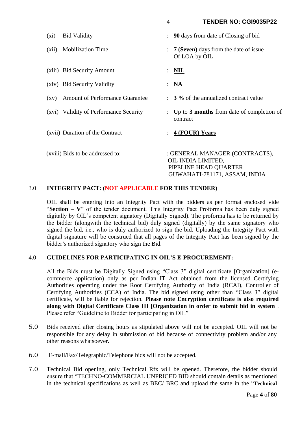GUWAHATI-781171, ASSAM, INDIA

| $(x_i)$ | <b>Bid Validity</b>                    |                | <b>90</b> days from date of Closing of bid                                    |
|---------|----------------------------------------|----------------|-------------------------------------------------------------------------------|
| (xii)   | <b>Mobilization Time</b>               |                | <b>7 (Seven)</b> days from the date of issue<br>Of LOA by OIL                 |
|         | (xiii) Bid Security Amount             | $\ddot{\cdot}$ | $\overline{\text{NIL}}$                                                       |
|         | (xiv) Bid Security Validity            |                | : NA                                                                          |
| (XV)    | <b>Amount of Performance Guarantee</b> |                | $\frac{3\%}{6}$ of the annualized contract value                              |
|         | (xvi) Validity of Performance Security |                | Up to 3 months from date of completion of<br>contract                         |
|         | (xvii) Duration of the Contract        |                | 4 (FOUR) Years                                                                |
|         | (xviii) Bids to be addressed to:       |                | : GENERAL MANAGER (CONTRACTS),<br>OIL INDIA LIMITED,<br>PIPELINE HEAD QUARTER |

## 3.0 **INTEGRITY PACT: (NOT APPLICABLE FOR THIS TENDER)**

OIL shall be entering into an Integrity Pact with the bidders as per format enclosed vide "**Section – V**" of the tender document. This Integrity Pact Proforma has been duly signed digitally by OIL's competent signatory (Digitally Signed). The proforma has to be returned by the bidder (alongwith the technical bid) duly signed (digitally) by the same signatory who signed the bid, i.e., who is duly authorized to sign the bid. Uploading the Integrity Pact with digital signature will be construed that all pages of the Integrity Pact has been signed by the bidder's authorized signatory who sign the Bid.

## 4.0 **GUIDELINES FOR PARTICIPATING IN OIL'S E-PROCUREMENT:**

All the Bids must be Digitally Signed using "Class 3" digital certificate [Organization] (ecommerce application) only as per Indian IT Act obtained from the licensed Certifying Authorities operating under the Root Certifying Authority of India (RCAI), Controller of Certifying Authorities (CCA) of India. The bid signed using other than "Class 3" digital certificate, will be liable for rejection. **Please note Encryption certificate is also required along with Digital Certificate Class III [Organization in order to submit bid in system** . Please refer "Guideline to Bidder for participating in OIL"

- 5.0 Bids received after closing hours as stipulated above will not be accepted. OIL will not be responsible for any delay in submission of bid because of connectivity problem and/or any other reasons whatsoever.
- 6.0 E-mail/Fax/Telegraphic/Telephone bids will not be accepted.
- 7.0 Technical Bid opening, only Technical Rfx will be opened. Therefore, the bidder should ensure that "TECHNO-COMMERCIAL UNPRICED BID should contain details as mentioned in the technical specifications as well as BEC/ BRC and upload the same in the "**Technical**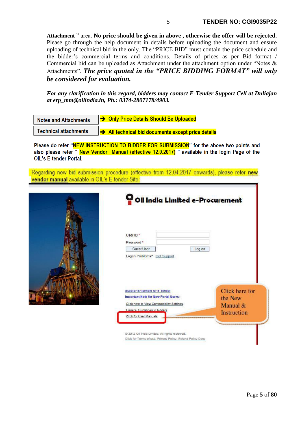**Attachment** " area. **No price should be given in above , otherwise the offer will be rejected.** Please go through the help document in details before uploading the document and ensure uploading of technical bid in the only. The "PRICE BID" must contain the price schedule and the bidder's commercial terms and conditions. Details of prices as per Bid format / Commercial bid can be uploaded as Attachment under the attachment option under "Notes & Attachments". *The price quoted in the "PRICE BIDDING FORMAT" will only be considered for evaluation.*

*For any clarification in this regard, bidders may contact E-Tender Support Cell at Duliajan at erp\_mm@oilindia.in, Ph.: 0374-2807178/4903.*

| <b>Notes and Attachments</b> | → Only Price Details Should Be Uploaded                        |
|------------------------------|----------------------------------------------------------------|
| <b>Technical attachments</b> | $\rightarrow$ All technical bid documents except price details |

Please do refer "NEW INSTRUCTION TO BIDDER FOR SUBMISSION" for the above two points and also please refer "New Vendor Manual (effective 12.0.2017) " available in the login Page of the Oll 's F-tender Portal

Regarding new bid submission procedure (effective from 12.04.2017 onwards), please refer new vendor manual available in OIL's E-tender Site:

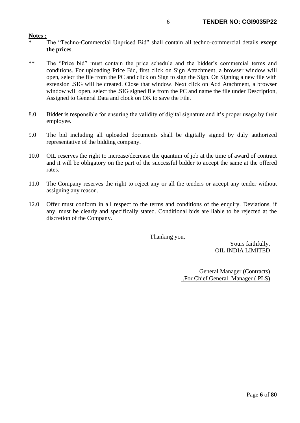#### **Notes :**

- \* The "Techno-Commercial Unpriced Bid" shall contain all techno-commercial details **except the prices**.
- \*\* The "Price bid" must contain the price schedule and the bidder's commercial terms and conditions. For uploading Price Bid, first click on Sign Attachment, a browser window will open, select the file from the PC and click on Sign to sign the Sign. On Signing a new file with extension .SIG will be created. Close that window. Next click on Add Atachment, a browser window will open, select the .SIG signed file from the PC and name the file under Description, Assigned to General Data and clock on OK to save the File.
- 8.0 Bidder is responsible for ensuring the validity of digital signature and it's proper usage by their employee.
- 9.0 The bid including all uploaded documents shall be digitally signed by duly authorized representative of the bidding company.
- 10.0 OIL reserves the right to increase/decrease the quantum of job at the time of award of contract and it will be obligatory on the part of the successful bidder to accept the same at the offered rates.
- 11.0 The Company reserves the right to reject any or all the tenders or accept any tender without assigning any reason.
- 12.0 Offer must conform in all respect to the terms and conditions of the enquiry. Deviations, if any, must be clearly and specifically stated. Conditional bids are liable to be rejected at the discretion of the Company.

Thanking you,

Yours faithfully, OIL INDIA LIMITED

General Manager (Contracts) .For Chief General Manager ( PLS)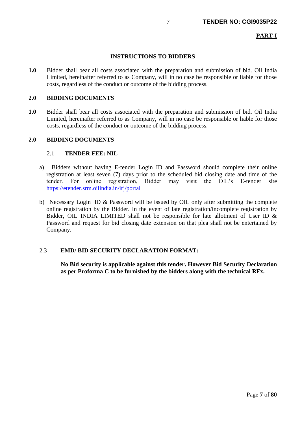# **PART-I**

# **INSTRUCTIONS TO BIDDERS**

**1.0** Bidder shall bear all costs associated with the preparation and submission of bid. Oil India Limited, hereinafter referred to as Company, will in no case be responsible or liable for those costs, regardless of the conduct or outcome of the bidding process.

#### **2.0 BIDDING DOCUMENTS**

**1.0** Bidder shall bear all costs associated with the preparation and submission of bid. Oil India Limited, hereinafter referred to as Company, will in no case be responsible or liable for those costs, regardless of the conduct or outcome of the bidding process.

#### **2.0 BIDDING DOCUMENTS**

#### 2.1 **TENDER FEE: NIL**

- a) Bidders without having E-tender Login ID and Password should complete their online registration at least seven (7) days prior to the scheduled bid closing date and time of the tender. For online registration, Bidder may visit the OIL's E-tender site <https://etender.srm.oilindia.in/irj/portal>
- b) Necessary Login ID & Password will be issued by OIL only after submitting the complete online registration by the Bidder. In the event of late registration/incomplete registration by Bidder, OIL INDIA LIMITED shall not be responsible for late allotment of User ID  $\&$ Password and request for bid closing date extension on that plea shall not be entertained by Company.

# 2.3 **EMD/ BID SECURITY DECLARATION FORMAT:**

**No Bid security is applicable against this tender. However Bid Security Declaration as per Proforma C to be furnished by the bidders along with the technical RFx.**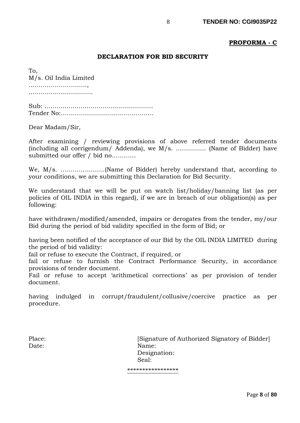# **PROFORMA - C**

# **DECLARATION FOR BID SECURITY**

To, M/s. Oil India Limited ……………………….., ……………………………………

Sub: ……………………………………………… Tender No:……………………………………….

Dear Madam/Sir,

After examining / reviewing provisions of above referred tender documents (including all corrigendum/ Addenda), we M/s. …………… (Name of Bidder) have submitted our offer / bid no…………

We, M/s. ………………….(Name of Bidder) hereby understand that, according to your conditions, we are submitting this Declaration for Bid Security.

We understand that we will be put on watch list/holiday/banning list (as per policies of OIL INDIA in this regard), if we are in breach of our obligation(s) as per following:

have withdrawn/modified/amended, impairs or derogates from the tender, my/our Bid during the period of bid validity specified in the form of Bid; or

having been notified of the acceptance of our Bid by the OIL INDIA LIMITED during the period of bid validity:

fail or refuse to execute the Contract, if required, or

fail or refuse to furnish the Contract Performance Security, in accordance provisions of tender document.

Fail or refuse to accept 'arithmetical corrections' as per provision of tender document.

having indulged in corrupt/fraudulent/collusive/coercive practice as per procedure.

Place: [Signature of Authorized Signatory of Bidder] Date: Name: Designation: Seal:

\*\*\*\*\*\*\*\*\*\*\*\*\*\*\*\*\*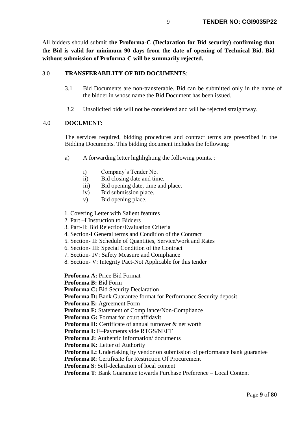All bidders should submit **the Proforma-C (Declaration for Bid security) confirming that the Bid is valid for minimum 90 days from the date of opening of Technical Bid. Bid without submission of Proforma-C will be summarily rejected.**

# 3.0 **TRANSFERABILITY OF BID DOCUMENTS**:

- 3.1 Bid Documents are non-transferable. Bid can be submitted only in the name of the bidder in whose name the Bid Document has been issued.
- 3.2 Unsolicited bids will not be considered and will be rejected straightway.

# 4.0 **DOCUMENT:**

The services required, bidding procedures and contract terms are prescribed in the Bidding Documents. This bidding document includes the following:

- a) A forwarding letter highlighting the following points. :
	- i) Company's Tender No.
	- ii) Bid closing date and time.
	- iii) Bid opening date, time and place.
	- iv) Bid submission place.
	- v) Bid opening place.

## 1. Covering Letter with Salient features

2. Part –I Instruction to Bidders

- 3. Part-II: Bid Rejection/Evaluation Criteria
- 4. Section-I General terms and Condition of the Contract
- 5. Section- II: Schedule of Quantities, Service/work and Rates
- 6. Section- III: Special Condition of the Contract
- 7. Section- IV: Safety Measure and Compliance
- 8. Section- V: Integrity Pact-Not Applicable for this tender

**Proforma A:** Price Bid Format

**Proforma B:** Bid Form

**Proforma C:** Bid Security Declaration

**Proforma D:** Bank Guarantee format for Performance Security deposit

**Proforma E:** Agreement Form

**Proforma F:** Statement of Compliance/Non-Compliance

**Proforma G:** Format for court affidavit

**Proforma H:** Certificate of annual turnover & net worth

**Proforma I:** E–Payments vide RTGS/NEFT

**Proforma J:** Authentic information/ documents

**Proforma K:** Letter of Authority

**Proforma L:** Undertaking by vendor on submission of performance bank guarantee

**Proforma R**: Certificate for Restriction Of Procurement

**Proforma S**: Self-declaration of local content

**Proforma T**: Bank Guarantee towards Purchase Preference – Local Content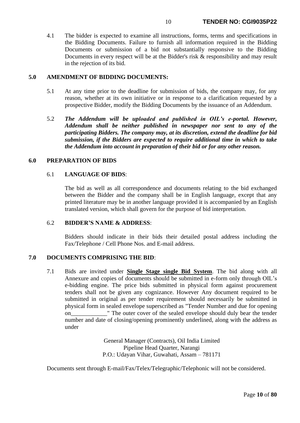4.1 The bidder is expected to examine all instructions, forms, terms and specifications in the Bidding Documents. Failure to furnish all information required in the Bidding Documents or submission of a bid not substantially responsive to the Bidding Documents in every respect will be at the Bidder's risk & responsibility and may result in the rejection of its bid.

#### **5.0 AMENDMENT OF BIDDING DOCUMENTS:**

- 5.1 At any time prior to the deadline for submission of bids, the company may, for any reason, whether at its own initiative or in response to a clarification requested by a prospective Bidder, modify the Bidding Documents by the issuance of an Addendum.
- 5.2 *The Addendum will be uploaded and published in OIL's e-portal. However, Addendum shall be neither published in newspaper nor sent to any of the participating Bidders. The company may, at its discretion, extend the deadline for bid submission, if the Bidders are expected to require additional time in which to take the Addendum into account in preparation of their bid or for any other reason.*

#### **6.0 PREPARATION OF BIDS**

#### 6.1 **LANGUAGE OF BIDS**:

The bid as well as all correspondence and documents relating to the bid exchanged between the Bidder and the company shall be in English language, except that any printed literature may be in another language provided it is accompanied by an English translated version, which shall govern for the purpose of bid interpretation.

#### 6.2 **BIDDER'S NAME & ADDRESS**:

Bidders should indicate in their bids their detailed postal address including the Fax/Telephone / Cell Phone Nos. and E-mail address.

#### **7.0 DOCUMENTS COMPRISING THE BID**:

7.1 Bids are invited under **Single Stage single Bid System**. The bid along with all Annexure and copies of documents should be submitted in e-form only through OIL's e-bidding engine. The price bids submitted in physical form against procurement tenders shall not be given any cognizance. However Any document required to be submitted in original as per tender requirement should necessarily be submitted in physical form in sealed envelope superscribed as "Tender Number and due for opening on\_\_\_\_\_\_\_\_\_\_\_\_" The outer cover of the sealed envelope should duly bear the tender number and date of closing/opening prominently underlined, along with the address as under

> General Manager (Contracts), Oil India Limited Pipeline Head Quarter, Narangi P.O.: Udayan Vihar, Guwahati, Assam – 781171

Documents sent through E-mail/Fax/Telex/Telegraphic/Telephonic will not be considered.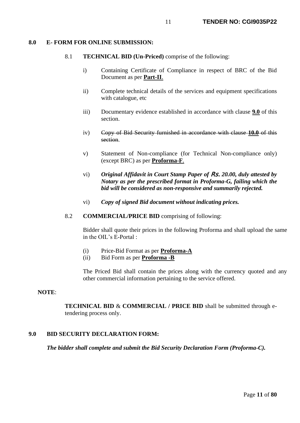#### **8.0 E- FORM FOR ONLINE SUBMISSION:**

#### 8.1 **TECHNICAL BID (Un-Priced)** comprise of the following:

- i) Containing Certificate of Compliance in respect of BRC of the Bid Document as per **Part-II**.
- ii) Complete technical details of the services and equipment specifications with catalogue, etc
- iii) Documentary evidence established in accordance with clause **9.0** of this section.
- iv) Copy of Bid Security furnished in accordance with clause **10.0** of this section.
- v) Statement of Non-compliance (for Technical Non-compliance only) (except BRC) as per **Proforma-F**.
- vi) *Original Affidavit in Court Stamp Paper of* Rs. *20.00, duly attested by Notary as per the prescribed format in Proforma-G, failing which the bid will be considered as non-responsive and summarily rejected.*
- vi) *Copy of signed Bid document without indicating prices.*
- 8.2 **COMMERCIAL/PRICE BID** comprising of following:

Bidder shall quote their prices in the following Proforma and shall upload the same in the OIL's E-Portal :

- (i) Price-Bid Format as per **Proforma-A**
- (ii) Bid Form as per **Proforma -B**

The Priced Bid shall contain the prices along with the currency quoted and any other commercial information pertaining to the service offered.

#### **NOTE**:

**TECHNICAL BID** & **COMMERCIAL / PRICE BID** shall be submitted through etendering process only.

# **9.0 BID SECURITY DECLARATION FORM:**

*The bidder shall complete and submit the Bid Security Declaration Form (Proforma-C).*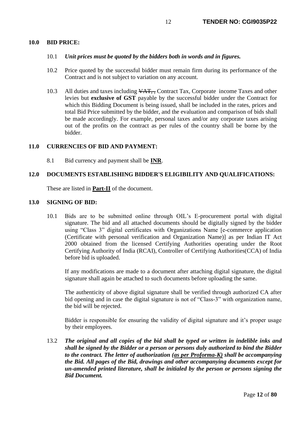#### **10.0 BID PRICE:**

#### 10.1 *Unit prices must be quoted by the bidders both in words and in figures.*

- 10.2 Price quoted by the successful bidder must remain firm during its performance of the Contract and is not subject to variation on any account.
- 10.3 All duties and taxes including  $\sqrt{AT}$ , Contract Tax, Corporate income Taxes and other levies but **exclusive of GST** payable by the successful bidder under the Contract for which this Bidding Document is being issued, shall be included in the rates, prices and total Bid Price submitted by the bidder, and the evaluation and comparison of bids shall be made accordingly. For example, personal taxes and/or any corporate taxes arising out of the profits on the contract as per rules of the country shall be borne by the bidder.

#### **11.0 CURRENCIES OF BID AND PAYMENT:**

8.1 Bid currency and payment shall be **INR**.

# **12.0 DOCUMENTS ESTABLISHING BIDDER'S ELIGIBILITY AND QUALIFICATIONS:**

These are listed in **Part-II** of the document.

#### **13.0 SIGNING OF BID:**

10.1 Bids are to be submitted online through OIL's E-procurement portal with digital signature. The bid and all attached documents should be digitally signed by the bidder using "Class 3" digital certificates with Organizations Name [e-commerce application (Certificate with personal verification and Organization Name)] as per Indian IT Act 2000 obtained from the licensed Certifying Authorities operating under the Root Certifying Authority of India (RCAI), Controller of Certifying Authorities(CCA) of India before bid is uploaded.

If any modifications are made to a document after attaching digital signature, the digital signature shall again be attached to such documents before uploading the same.

The authenticity of above digital signature shall be verified through authorized CA after bid opening and in case the digital signature is not of "Class-3" with organization name, the bid will be rejected.

Bidder is responsible for ensuring the validity of digital signature and it's proper usage by their employees.

13.2 *The original and all copies of the bid shall be typed or written in indelible inks and shall be signed by the Bidder or a person or persons duly authorized to bind the Bidder to the contract. The letter of authorization (as per Proforma-K) shall be accompanying the Bid. All pages of the Bid, drawings and other accompanying documents except for un-amended printed literature, shall be initialed by the person or persons signing the Bid Document.*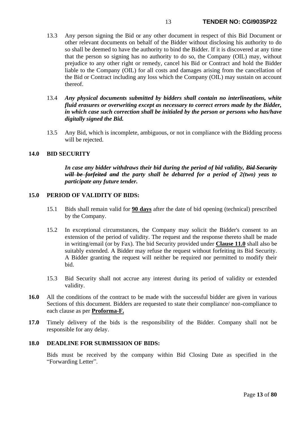- 13.3 Any person signing the Bid or any other document in respect of this Bid Document or other relevant documents on behalf of the Bidder without disclosing his authority to do so shall be deemed to have the authority to bind the Bidder. If it is discovered at any time that the person so signing has no authority to do so, the Company (OIL) may, without prejudice to any other right or remedy, cancel his Bid or Contract and hold the Bidder liable to the Company (OIL) for all costs and damages arising from the cancellation of the Bid or Contract including any loss which the Company (OIL) may sustain on account thereof.
- 13.4 *Any physical documents submitted by bidders shall contain no interlineations, white fluid erasures or overwriting except as necessary to correct errors made by the Bidder, in which case such correction shall be initialed by the person or persons who has/have digitally signed the Bid.*
- 13.5 Any Bid, which is incomplete, ambiguous, or not in compliance with the Bidding process will be rejected.

#### **14.0 BID SECURITY**

*In case any bidder withdraws their bid during the period of bid validity, Bid Security will be forfeited and the party shall be debarred for a period of 2(two) yeas to participate any future tender.*

#### **15.0 PERIOD OF VALIDITY OF BIDS:**

- 15.1 Bids shall remain valid for **90 days** after the date of bid opening (technical) prescribed by the Company.
- 15.2 In exceptional circumstances, the Company may solicit the Bidder's consent to an extension of the period of validity. The request and the response thereto shall be made in writing/email (or by Fax). The bid Security provided under **Clause 11.0** shall also be suitably extended. A Bidder may refuse the request without forfeiting its Bid Security. A Bidder granting the request will neither be required nor permitted to modify their bid.
- 15.3 Bid Security shall not accrue any interest during its period of validity or extended validity.
- 16.0 All the conditions of the contract to be made with the successful bidder are given in various Sections of this document. Bidders are requested to state their compliance/ non-compliance to each clause as per **Proforma-F.**
- **17.0** Timely delivery of the bids is the responsibility of the Bidder. Company shall not be responsible for any delay.

#### **18.0 DEADLINE FOR SUBMISSION OF BIDS:**

Bids must be received by the company within Bid Closing Date as specified in the "Forwarding Letter".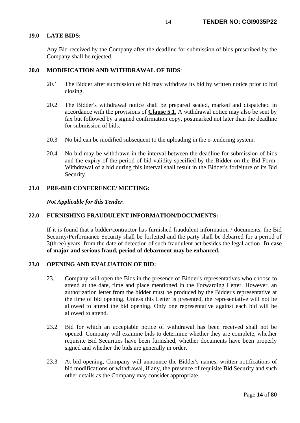# **19.0 LATE BIDS:**

Any Bid received by the Company after the deadline for submission of bids prescribed by the Company shall be rejected.

## **20.0 MODIFICATION AND WITHDRAWAL OF BIDS**:

- 20.1 The Bidder after submission of bid may withdraw its bid by written notice prior to bid closing.
- 20.2 The Bidder's withdrawal notice shall be prepared sealed, marked and dispatched in accordance with the provisions of **Clause 5.1**. A withdrawal notice may also be sent by fax but followed by a signed confirmation copy, postmarked not later than the deadline for submission of bids.
- 20.3 No bid can be modified subsequent to the uploading in the e-tendering system.
- 20.4 No bid may be withdrawn in the interval between the deadline for submission of bids and the expiry of the period of bid validity specified by the Bidder on the Bid Form. Withdrawal of a bid during this interval shall result in the Bidder's forfeiture of its Bid Security.

#### **21.0 PRE-BID CONFERENCE/ MEETING:**

*Not Applicable for this Tender.*

## **22.0 FURNISHING FRAUDULENT INFORMATION/DOCUMENTS:**

If it is found that a bidder/contractor has furnished fraudulent information / documents, the Bid Security/Performance Security shall be forfeited and the party shall be debarred for a period of 3(three) years from the date of detection of such fraudulent act besides the legal action. **In case of major and serious fraud, period of debarment may be enhanced.**

# **23.0 OPENING AND EVALUATION OF BID:**

- 23.1 Company will open the Bids in the presence of Bidder's representatives who choose to attend at the date, time and place mentioned in the Forwarding Letter. However, an authorization letter from the bidder must be produced by the Bidder's representative at the time of bid opening. Unless this Letter is presented, the representative will not be allowed to attend the bid opening. Only one representative against each bid will be allowed to attend.
- 23.2 Bid for which an acceptable notice of withdrawal has been received shall not be opened. Company will examine bids to determine whether they are complete, whether requisite Bid Securities have been furnished, whether documents have been properly signed and whether the bids are generally in order.
- 23.3 At bid opening, Company will announce the Bidder's names, written notifications of bid modifications or withdrawal, if any, the presence of requisite Bid Security and such other details as the Company may consider appropriate.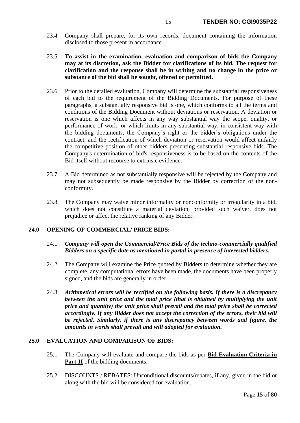- 23.4 Company shall prepare, for its own records, document containing the information disclosed to those present in accordance.
- 23.5 **To assist in the examination, evaluation and comparison of bids the Company may at its discretion, ask the Bidder for clarifications of its bid. The request for clarification and the response shall be in writing and no change in the price or substance of the bid shall be sought, offered or permitted.**
- 23.6 Prior to the detailed evaluation, Company will determine the substantial responsiveness of each bid to the requirement of the Bidding Documents. For purpose of these paragraphs, a substantially responsive bid is one, which conforms to all the terms and conditions of the Bidding Document without deviations or reservation. A deviation or reservation is one which affects in any way substantial way the scope, quality, or performance of work, or which limits in any substantial way, in-consistent way with the bidding documents, the Company's right or the bidder's obligations under the contract, and the rectification of which deviation or reservation would affect unfairly the competitive position of other bidders presenting substantial responsive bids. The Company's determination of bid's responsiveness is to be based on the contents of the Bid itself without recourse to extrinsic evidence.
- 23.7 A Bid determined as not substantially responsive will be rejected by the Company and may not subsequently be made responsive by the Bidder by correction of the nonconformity.
- 23.8 The Company may waive minor informality or nonconformity or irregularity in a bid, which does not constitute a material deviation, provided such waiver, does not prejudice or affect the relative ranking of any Bidder.

# **24.0 OPENING OF COMMERCIAL/ PRICE BIDS:**

# 24.1 *Company will open the Commercial/Price Bids of the techno-commercially qualified Bidders on a specific date as mentioned in portal in presence of interested bidders.*

- 24.2 The Company will examine the Price quoted by Bidders to determine whether they are complete, any computational errors have been made, the documents have been properly signed, and the bids are generally in order.
- 24.3 *Arithmetical errors will be rectified on the following basis. If there is a discrepancy between the unit price and the total price (that is obtained by multiplying the unit price and quantity) the unit price shall prevail and the total price shall be corrected accordingly. If any Bidder does not accept the correction of the errors, their bid will be rejected. Similarly, if there is any discrepancy between words and figure, the amounts in words shall prevail and will adopted for evaluation.*

## **25.0 EVALUATION AND COMPARISON OF BIDS:**

- 25.1 The Company will evaluate and compare the bids as per **Bid Evaluation Criteria in**  Part-II of the bidding documents.
- 25.2 DISCOUNTS / REBATES: Unconditional discounts/rebates, if any, given in the bid or along with the bid will be considered for evaluation.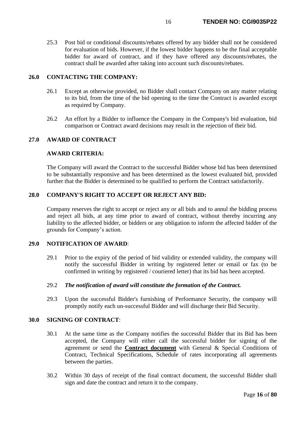25.3 Post bid or conditional discounts/rebates offered by any bidder shall not be considered for evaluation of bids. However, if the lowest bidder happens to be the final acceptable bidder for award of contract, and if they have offered any discounts/rebates, the contract shall be awarded after taking into account such discounts/rebates.

# **26.0 CONTACTING THE COMPANY:**

- 26.1 Except as otherwise provided, no Bidder shall contact Company on any matter relating to its bid, from the time of the bid opening to the time the Contract is awarded except as required by Company.
- 26.2 An effort by a Bidder to influence the Company in the Company's bid evaluation, bid comparison or Contract award decisions may result in the rejection of their bid.

# **27.0 AWARD OF CONTRACT**

# **AWARD CRITERIA:**

The Company will award the Contract to the successful Bidder whose bid has been determined to be substantially responsive and has been determined as the lowest evaluated bid, provided further that the Bidder is determined to be qualified to perform the Contract satisfactorily.

## **28.0 COMPANY'S RIGHT TO ACCEPT OR REJECT ANY BID:**

Company reserves the right to accept or reject any or all bids and to annul the bidding process and reject all bids, at any time prior to award of contract, without thereby incurring any liability to the affected bidder, or bidders or any obligation to inform the affected bidder of the grounds for Company's action.

## **29.0 NOTIFICATION OF AWARD**:

29.1 Prior to the expiry of the period of bid validity or extended validity, the company will notify the successful Bidder in writing by registered letter or email or fax (to be confirmed in writing by registered / couriered letter) that its bid has been accepted.

#### 29.2 *The notification of award will constitute the formation of the Contract.*

29.3 Upon the successful Bidder's furnishing of Performance Security, the company will promptly notify each un-successful Bidder and will discharge their Bid Security.

# **30.0 SIGNING OF CONTRACT**:

- 30.1 At the same time as the Company notifies the successful Bidder that its Bid has been accepted, the Company will either call the successful bidder for signing of the agreement or send the **Contract document** with General & Special Conditions of Contract, Technical Specifications, Schedule of rates incorporating all agreements between the parties.
- 30.2 Within 30 days of receipt of the final contract document, the successful Bidder shall sign and date the contract and return it to the company.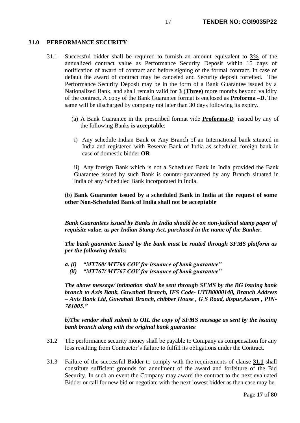#### **31.0 PERFORMANCE SECURITY**:

- 31.1 Successful bidder shall be required to furnish an amount equivalent to **3%** of the annualized contract value as Performance Security Deposit within 15 days of notification of award of contract and before signing of the formal contract. In case of default the award of contract may be canceled and Security deposit forfeited. The Performance Security Deposit may be in the form of a Bank Guarantee issued by a Nationalized Bank, and shall remain valid for **3** (**Three)** more months beyond validity of the contract. A copy of the Bank Guarantee format is enclosed as **Proforma –D.** The same will be discharged by company not later than 30 days following its expiry.
	- (a) A Bank Guarantee in the prescribed format vide **Proforma-D** issued by any of the following Banks **is acceptable**:
	- i) Any schedule Indian Bank or Any Branch of an International bank situated in India and registered with Reserve Bank of India as scheduled foreign bank in case of domestic bidder **OR**

ii) Any foreign Bank which is not a Scheduled Bank in India provided the Bank Guarantee issued by such Bank is counter-guaranteed by any Branch situated in India of any Scheduled Bank incorporated in India.

# (b) **Bank Guarantee issued by a scheduled Bank in India at the request of some other Non-Scheduled Bank of India shall not be acceptable**

*Bank Guarantees issued by Banks in India should be on non-judicial stamp paper of requisite value, as per Indian Stamp Act, purchased in the name of the Banker.*

*The bank guarantee issued by the bank must be routed through SFMS platform as per the following details:*

- *a. (i) "MT760/ MT760 COV for issuance of bank guarantee"*
	- *(ii) "MT767/ MT767 COV for issuance of bank guarantee"*

*The above message/ intimation shall be sent through SFMS by the BG issuing bank branch to Axis Bank, Guwahati Branch, IFS Code- UTIB0000140, Branch Address – Axis Bank Ltd, Guwahati Branch, chibber House , G S Road, dispur,Assam , PIN-781005."*

*b)The vendor shall submit to OIL the copy of SFMS message as sent by the issuing bank branch along with the original bank guarantee*

- 31.2 The performance security money shall be payable to Company as compensation for any loss resulting from Contractor's failure to fulfill its obligations under the Contract.
- 31.3 Failure of the successful Bidder to comply with the requirements of clause **31.1** shall constitute sufficient grounds for annulment of the award and forfeiture of the Bid Security. In such an event the Company may award the contract to the next evaluated Bidder or call for new bid or negotiate with the next lowest bidder as then case may be.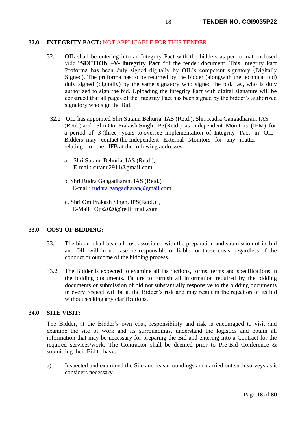#### **32.0 INTEGRITY PACT:** NOT APPLICABLE FOR THIS TENDER

- 32.1 OIL shall be entering into an Integrity Pact with the bidders as per format enclosed vide "**SECTION –V- Integrity Pact** "of the tender document. This Integrity Pact Proforma has been duly signed digitally by OIL's competent signatory (Digitally Signed). The proforma has to be returned by the bidder (alongwith the technical bid) duly signed (digitally) by the same signatory who signed the bid, i.e., who is duly authorized to sign the bid. Uploading the Integrity Pact with digital signature will be construed that all pages of the Integrity Pact has been signed by the bidder's authorized signatory who sign the Bid.
	- 32.2 OIL has appointed Shri Sutanu Behuria, IAS (Retd.), Shri Rudra Gangadharan, IAS (Retd.),and Shri Om Prakash Singh, IPS(Retd.) as Independent Monitors (IEM) for a period of 3 (three) years to oversee implementation of Integrity Pact in OIL Bidders may contact the Independent External Monitors for any matter relating to the IFB at the following addresses:
		- a. Shri Sutanu Behuria, IAS (Retd.), E-mail: [sutanu2911@gmaiI.com](mailto:sutanu2911@gmaiI.com)
		- b. Shri Rudra Gangadharan, IAS (Retd.) E-mail: [rudhra.gangadharan@gmail.com](mailto:rudhra.gangadharan@gmail.com)
		- c. Shri Om Prakash Singh, IPS(Retd.) , E-Mail : Ops2020@rediffmail.com

### **33.0 COST OF BIDDING:**

- 33.1 The bidder shall bear all cost associated with the preparation and submission of its bid and OIL will in no case be responsible or liable for those costs, regardless of the conduct or outcome of the bidding process.
- 33.2 The Bidder is expected to examine all instructions, forms, terms and specifications in the bidding documents. Failure to furnish all information required by the bidding documents or submission of bid not substantially responsive to the bidding documents in every respect will be at the Bidder's risk and may result in the rejection of its bid without seeking any clarifications.

# **34.0 SITE VISIT:**

The Bidder, at the Bidder's own cost, responsibility and risk is encouraged to visit and examine the site of work and its surroundings, understand the logistics and obtain all information that may be necessary for preparing the Bid and entering into a Contract for the required services/work. The Contractor shall be deemed prior to Pre-Bid Conference & submitting their Bid to have:

a) Inspected and examined the Site and its surroundings and carried out such surveys as it considers necessary.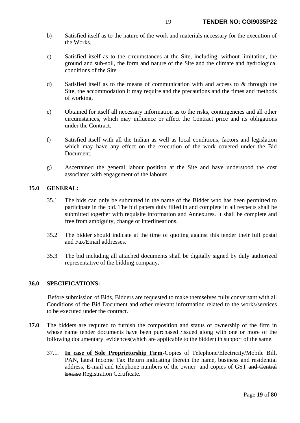- b) Satisfied itself as to the nature of the work and materials necessary for the execution of the Works.
- c) Satisfied itself as to the circumstances at the Site, including, without limitation, the ground and sub-soil, the form and nature of the Site and the climate and hydrological conditions of the Site.
- d) Satisfied itself as to the means of communication with and access to & through the Site, the accommodation it may require and the precautions and the times and methods of working.
- e) Obtained for itself all necessary information as to the risks, contingencies and all other circumstances, which may influence or affect the Contract price and its obligations under the Contract.
- f) Satisfied itself with all the Indian as well as local conditions, factors and legislation which may have any effect on the execution of the work covered under the Bid Document.
- g) Ascertained the general labour position at the Site and have understood the cost associated with engagement of the labours.

## **35.0 GENERAL:**

- 35.1 The bids can only be submitted in the name of the Bidder who has been permitted to participate in the bid. The bid papers duly filled in and complete in all respects shall be submitted together with requisite information and Annexures. It shall be complete and free from ambiguity, change or interlineations.
- 35.2 The bidder should indicate at the time of quoting against this tender their full postal and Fax/Email addresses.
- 35.3 The bid including all attached documents shall be digitally signed by duly authorized representative of the bidding company.

## **36.0 SPECIFICATIONS:**

**.**Before submission of Bids, Bidders are requested to make themselves fully conversant with all Conditions of the Bid Document and other relevant information related to the works/services to be executed under the contract.

- **37.0** The bidders are required to furnish the composition and status of ownership of the firm in whose name tender documents have been purchased /issued along with one or more of the following documentary evidences(which are applicable to the bidder) in support of the same.
	- 37.1. **In case of Sole Proprietorship Firm**-Copies of Telephone/Electricity/Mobile Bill, PAN, latest Income Tax Return indicating therein the name, business and residential address, E-mail and telephone numbers of the owner and copies of GST and Central Excise Registration Certificate.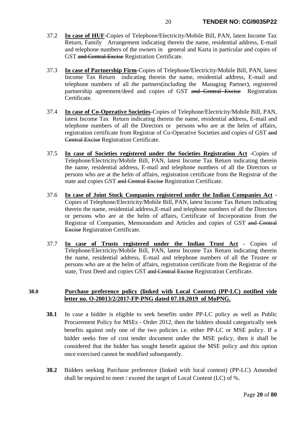- 37.2 **In case of HUF**-Copies of Telephone/Electricity/Mobile Bill, PAN, latest Income Tax Return, Family Arrangement indicating therein the name, residential address, E-mail and telephone numbers of the owners in general and Karta in particular and copies of GST and Central Excise Registration Certificate.
- 37.3 **In case of Partnership Firm**-Copies of Telephone/Electricity/Mobile Bill, PAN, latest Income Tax Return indicating therein the name, residential address, E-mail and telephone numbers of all the partners(including the Managing Partner), registered partnership agreement/deed and copies of GST and Central Excise Registration Certificate.
- 37.4 **In case of Co-Operative Societies**-Copies of Telephone/Electricity/Mobile Bill, PAN, latest Income Tax Return indicating therein the name, residential address, E-mail and telephone numbers of all the Directors or persons who are at the helm of affairs, registration certificate from Registrar of Co-Operative Societies and copies of GST and Central Excise Registration Certificate.
- 37.5 **In case of Societies registered under the Societies Registration Act** -Copies of Telephone/Electricity/Mobile Bill, PAN, latest Income Tax Return indicating therein the name, residential address, E-mail and telephone numbers of all the Directors or persons who are at the helm of affairs, registration certificate from the Registrar of the state and copies GST and Central Excise Registration Certificate.
- 37.6 **In case of Joint Stock Companies registered under the Indian Companies Act** Copies of Telephone/Electricity/Mobile Bill, PAN, latest Income Tax Return indicating therein the name, residential address,E-mail and telephone numbers of all the Directors or persons who are at the helm of affairs, Certificate of Incorporation from the Registrar of Companies, Memorandum and Articles and copies of GST and Central Excise Registration Certificate.
- 37.7 **In case of Trusts registered under the Indian Trust Act** Copies of Telephone/Electricity/Mobile Bill, PAN, latest Income Tax Return indicating therein the name, residential address, E-mail and telephone numbers of all the Trustee or persons who are at the helm of affairs, registration certificate from the Registrar of the state, Trust Deed and copies GST and Central Excise Registration Certificate.

# **38.0 Purchase preference policy (linked with Local Content) (PP-LC) notified vide letter no. O-20013/2/2017-FP-PNG dated 07.10.2019 of MoPNG.**

- <span id="page-19-0"></span>**38.1** In case a bidder is eligible to seek benefits under PP-LC policy as well as Public Procurement Policy for MSEs - Order 2012, then the bidders should categorically seek benefits against only one of the two policies i.e. either PP-LC or MSE policy. If a bidder seeks free of cost tender document under the MSE policy, then it shall be considered that the bidder has sought benefit against the MSE policy and this option once exercised cannot be modified subsequently.
- <span id="page-19-1"></span>**38.2** Bidders seeking Purchase preference (linked with local content) (PP-LC) Amended shall be required to meet / exceed the target of Local Content (LC) of %.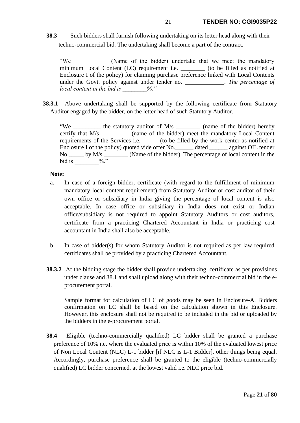**38.3** Such bidders shall furnish following undertaking on its letter head along with their techno-commercial bid. The undertaking shall become a part of the contract.

"We (Name of the bidder) undertake that we meet the mandatory minimum Local Content (LC) requirement i.e. \_\_\_\_\_\_\_\_ (to be filled as notified at Enclosure I of the policy) for claiming purchase preference linked with Local Contents under the Govt. policy against under tender no. \_\_\_\_\_\_\_\_\_\_\_\_\_. *The percentage of local content in the bid is \_\_\_\_\_\_\_\_%."*

**38.3.1** Above undertaking shall be supported by the following certificate from Statutory Auditor engaged by the bidder, on the letter head of such Statutory Auditor.

"We \_\_\_\_\_\_\_\_\_\_ the statutory auditor of M/s \_\_\_\_\_\_\_\_\_ (name of the bidder) hereby certify that M/s (name of the bidder) meet the mandatory Local Content requirements of the Services i.e.  $\qquad$  (to be filled by the work center as notified at Enclosure I of the policy) quoted vide offer No. <br>dated against OIL tender No. by M/s \_\_\_\_\_\_\_\_ (Name of the bidder). The percentage of local content in the bid is  $\frac{6}{10}$ ."

#### **Note:**

- a. In case of a foreign bidder, certificate (with regard to the fulfillment of minimum mandatory local content requirement) from Statutory Auditor or cost auditor of their own office or subsidiary in India giving the percentage of local content is also acceptable. In case office or subsidiary in India does not exist or Indian office/subsidiary is not required to appoint Statutory Auditors or cost auditors, certificate from a practicing Chartered Accountant in India or practicing cost accountant in India shall also be acceptable.
- b. In case of bidder(s) for whom Statutory Auditor is not required as per law required certificates shall be provided by a practicing Chartered Accountant.
- <span id="page-20-0"></span>**38.3.2** At the bidding stage the bidder shall provide undertaking, certificate as per provisions under clause and [38.1](#page-19-0) and shall upload along with their techno-commercial bid in the eprocurement portal.

Sample format for calculation of LC of goods may be seen in Enclosure-A. Bidders confirmation on LC shall be based on the calculation shown in this Enclosure. However, this enclosure shall not be required to be included in the bid or uploaded by the bidders in the e-procurement portal.

**38.4** Eligible (techno-commercially qualified) LC bidder shall be granted a purchase preference of 10% i.e. where the evaluated price is within 10% of the evaluated lowest price of Non Local Content (NLC) L-1 bidder [if NLC is L-1 Bidder], other things being equal. Accordingly, purchase preference shall be granted to the eligible (techno-commercially qualified) LC bidder concerned, at the lowest valid i.e. NLC price bid.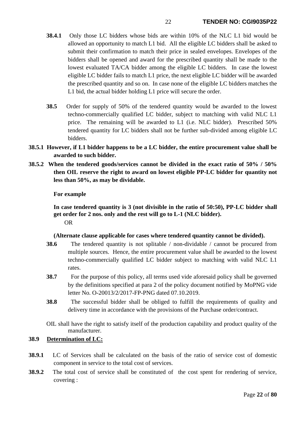- **38.4.1** Only those LC bidders whose bids are within 10% of the NLC L1 bid would be allowed an opportunity to match L1 bid. All the eligible LC bidders shall be asked to submit their confirmation to match their price in sealed envelopes. Envelopes of the bidders shall be opened and award for the prescribed quantity shall be made to the lowest evaluated TA/CA bidder among the eligible LC bidders. In case the lowest eligible LC bidder fails to match L1 price, the next eligible LC bidder will be awarded the prescribed quantity and so on. In case none of the eligible LC bidders matches the L1 bid, the actual bidder holding L1 price will secure the order.
- **38.5** Order for supply of 50% of the tendered quantity would be awarded to the lowest techno-commercially qualified LC bidder, subject to matching with valid NLC L1 price. The remaining will be awarded to L1 (i.e. NLC bidder). Prescribed 50% tendered quantity for LC bidders shall not be further sub-divided among eligible LC bidders.
- **38.5.1 However, if L1 bidder happens to be a LC bidder, the entire procurement value shall be awarded to such bidder.**
- **38.5.2 When the tendered goods/services cannot be divided in the exact ratio of 50% / 50% then OIL reserve the right to award on lowest eligible PP-LC bidder for quantity not less than 50%, as may be dividable.**

# **For example**

**In case tendered quantity is 3 (not divisible in the ratio of 50:50), PP-LC bidder shall get order for 2 nos. only and the rest will go to L-1 (NLC bidder).** OR

## **(Alternate clause applicable for cases where tendered quantity cannot be divided).**

- **38.6** The tendered quantity is not splitable / non-dividable / cannot be procured from multiple sources. Hence, the entire procurement value shall be awarded to the lowest techno-commercially qualified LC bidder subject to matching with valid NLC L1 rates.
- **38.7** For the purpose of this policy, all terms used vide aforesaid policy shall be governed by the definitions specified at para 2 of the policy document notified by MoPNG vide letter No. O-20013/2/2017-FP-PNG dated 07.10.2019.
- **38.8** The successful bidder shall be obliged to fulfill the requirements of quality and delivery time in accordance with the provisions of the Purchase order/contract.

OIL shall have the right to satisfy itself of the production capability and product quality of the manufacturer.

# <span id="page-21-0"></span>**38.9 Determination of LC:**

- **38.9.1** LC of Services shall be calculated on the basis of the ratio of service cost of domestic component in service to the total cost of services.
- **38.9.2** The total cost of service shall be constituted of the cost spent for rendering of service, covering :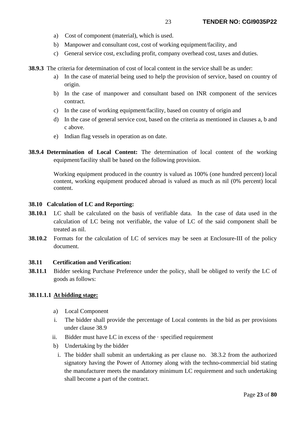- a) Cost of component (material), which is used.
- b) Manpower and consultant cost, cost of working equipment/facility, and
- c) General service cost, excluding profit, company overhead cost, taxes and duties.
- **38.9.3** The criteria for determination of cost of local content in the service shall be as under:
	- a) In the case of material being used to help the provision of service, based on country of origin.
	- b) In the case of manpower and consultant based on INR component of the services contract.
	- c) In the case of working equipment/facility, based on country of origin and
	- d) In the case of general service cost, based on the criteria as mentioned in clauses a, b and c above.
	- e) Indian flag vessels in operation as on date.
- **38.9.4 Determination of Local Content:** The determination of local content of the working equipment/facility shall be based on the following provision.

Working equipment produced in the country is valued as 100% (one hundred percent) local content, working equipment produced abroad is valued as much as nil (0% percent) local content.

## **38.10 Calculation of LC and Reporting:**

- **38.10.1** LC shall be calculated on the basis of verifiable data. In the case of data used in the calculation of LC being not verifiable, the value of LC of the said component shall be treated as nil.
- **38.10.2** Formats for the calculation of LC of services may be seen at Enclosure-III of the policy document.

## **38.11****Certification and Verification:**

**38.11.1** Bidder seeking Purchase Preference under the policy, shall be obliged to verify the LC of goods as follows:

## **38.11.1.1 At bidding stage:**

- a) Local Component
- i. The bidder shall provide the percentage of Local contents in the bid as per provisions under clause [38.9](#page-21-0)
- ii. Bidder must have LC in excess of the  $\cdot$  specified requirement
- b) Undertaking by the bidder
	- i. The bidder shall submit an undertaking as per clause no. [38.3.2](#page-20-0) from the authorized signatory having the Power of Attorney along with the techno-commercial bid stating the manufacturer meets the mandatory minimum LC requirement and such undertaking shall become a part of the contract.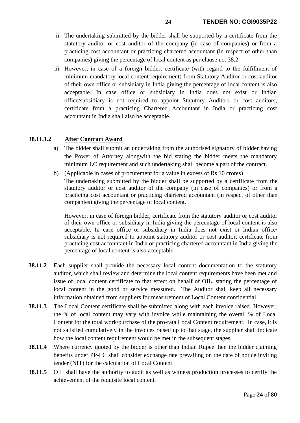- ii. The undertaking submitted by the bidder shall be supported by a certificate from the statutory auditor or cost auditor of the company (in case of companies) or from a practicing cost accountant or practicing chartered accountant (in respect of other than companies) giving the percentage of local content as per clause no. [38.2](#page-19-1)
- iii. However, in case of a foreign bidder, certificate (with regard to the fulfillment of minimum mandatory local content requirement) from Statutory Auditor or cost auditor of their own office or subsidiary in India giving the percentage of local content is also acceptable. In case office or subsidiary in India does not exist or Indian office/subsidiary is not required to appoint Statutory Auditors or cost auditors, certificate from a practicing Chartered Accountant in India or practicing cost accountant in India shall also be acceptable.

# **38.11.1.2 After Contract Award**

- a) The bidder shall submit an undertaking from the authorised signatory of bidder having the Power of Attorney alongwith the bid stating the bidder meets the mandatory minimum LC requirement and such undertaking shall become a part of the contract.
- b) (Applicable in cases of procurement for a value in excess of Rs 10 crores) The undertaking submitted by the bidder shall be supported by a certificate from the statutory auditor or cost auditor of the company (in case of companies) or from a practicing cost accountant or practicing chartered accountant (in respect of other than companies) giving the percentage of local content.

However, in case of foreign bidder, certificate from the statutory auditor or cost auditor of their own office or subsidiary in India giving the percentage of local content is also acceptable. In case office or subsidiary in India does not exist or Indian office/ subsidiary is not required to appoint statutory auditor or cost auditor, certificate from practicing cost accountant in India or practicing chartered accountant in India giving the percentage of local content is also acceptable.

- **38.11.2** Each supplier shall provide the necessary local content documentation to the statutory auditor, which shall review and determine the local content requirements have been met and issue of local content certificate to that effect on behalf of OIL, stating the percentage of local content in the good or service measured. The Auditor shall keep all necessary information obtained from suppliers for measurement of Local Content confidential.
- **38.11.3** The Local Content certificate shall be submitted along with each invoice raised. However, the % of local content may vary with invoice while maintaining the overall % of Local Content for the total work/purchase of the pro-rata Local Content requirement. In case, it is not satisfied cumulatively in the invoices raised up to that stage, the supplier shall indicate how the local content requirement would be met in the subsequent stages.
- **38.11.4** Where currency quoted by the bidder is other than Indian Rupee then the bidder claiming benefits under PP-LC shall consider exchange rate prevailing on the date of notice inviting tender (NIT) for the calculation of Local Content.
- **38.11.5** OIL shall have the authority to audit as well as witness production processes to certify the achievement of the requisite local content.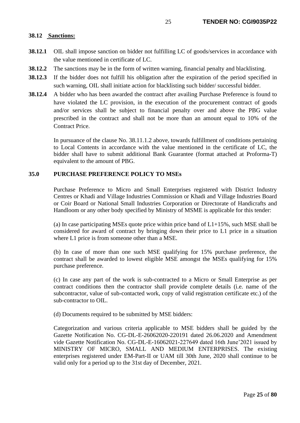# **38.12 Sanctions:**

- **38.12.1** OIL shall impose sanction on bidder not fulfilling LC of goods/services in accordance with the value mentioned in certificate of LC.
- **38.12.2** The sanctions may be in the form of written warning, financial penalty and blacklisting.
- **38.12.3** If the bidder does not fulfill his obligation after the expiration of the period specified in such warning, OIL shall initiate action for blacklisting such bidder/ successful bidder.
- **38.12.4** A bidder who has been awarded the contract after availing Purchase Preference is found to have violated the LC provision, in the execution of the procurement contract of goods and/or services shall be subject to financial penalty over and above the PBG value prescribed in the contract and shall not be more than an amount equal to 10% of the Contract Price.

In pursuance of the clause No. 38.11.1.2 above, towards fulfillment of conditions pertaining to Local Contents in accordance with the value mentioned in the certificate of LC, the bidder shall have to submit additional Bank Guarantee (format attached at Proforma-T) equivalent to the amount of PBG.

# **35.0 PURCHASE PREFERENCE POLICY TO MSEs**

Purchase Preference to Micro and Small Enterprises registered with District Industry Centres or Khadi and Village Industries Commission or Khadi and Village Industries Board or Coir Board or National Small Industries Corporation or Directorate of Handicrafts and Handloom or any other body specified by Ministry of MSME is applicable for this tender:

(a) In case participating MSEs quote price within price band of  $L1+15\%$ , such MSE shall be considered for award of contract by bringing down their price to L1 price in a situation where L1 price is from someone other than a MSE.

(b) In case of more than one such MSE qualifying for 15% purchase preference, the contract shall be awarded to lowest eligible MSE amongst the MSEs qualifying for 15% purchase preference.

(c) In case any part of the work is sub-contracted to a Micro or Small Enterprise as per contract conditions then the contractor shall provide complete details (i.e. name of the subcontractor, value of sub-contacted work, copy of valid registration certificate etc.) of the sub-contractor to OIL.

(d) Documents required to be submitted by MSE bidders:

Categorization and various criteria applicable to MSE bidders shall be guided by the Gazette Notification No. CG-DL-E-26062020-220191 dated 26.06.2020 and Amendment vide Gazette Notification No. CG-DL-E-16062021-227649 dated 16th June'2021 issued by MINISTRY OF MICRO, SMALL AND MEDIUM ENTERPRISES. The existing enterprises registered under EM-Part-II or UAM till 30th June, 2020 shall continue to be valid only for a period up to the 31st day of December, 2021.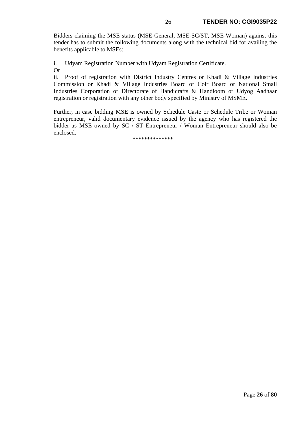Bidders claiming the MSE status (MSE-General, MSE-SC/ST, MSE-Woman) against this tender has to submit the following documents along with the technical bid for availing the benefits applicable to MSEs:

i. Udyam Registration Number with Udyam Registration Certificate.

Or

ii. Proof of registration with District Industry Centres or Khadi & Village Industries Commission or Khadi & Village Industries Board or Coir Board or National Small Industries Corporation or Directorate of Handicrafts & Handloom or Udyog Aadhaar registration or registration with any other body specified by Ministry of MSME.

Further, in case bidding MSE is owned by Schedule Caste or Schedule Tribe or Woman entrepreneur, valid documentary evidence issued by the agency who has registered the bidder as MSE owned by SC / ST Entrepreneur / Woman Entrepreneur should also be enclosed.

\*\*\*\*\*\*\*\*\*\*\*\*\*\*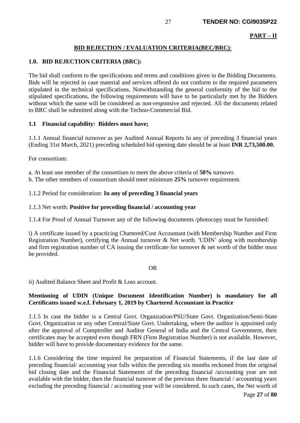#### **PART – II**

# **BID REJECTION / EVALUATION CRITERIA(BEC/BRC)**:

## **1.0. BID REJECTION CRITERIA (BRC):**

The bid shall conform to the specifications and terms and conditions given in the Bidding Documents. Bids will be rejected in case material and services offered do not conform to the required parameters stipulated in the technical specifications. Notwithstanding the general conformity of the bid to the stipulated specifications, the following requirements will have to be particularly met by the Bidders without which the same will be considered as non-responsive and rejected. All the documents related to BRC shall be submitted along with the Techno-Commercial Bid.

## **1.1 Financial capability: Bidders must have;**

1.1.1 Annual financial turnover as per Audited Annual Reports In any of preceding 3 financial years (Ending 31st March, 2021) preceding scheduled bid opening date should be at least **INR 2,73,500.00.**

For consortium:

a. At least one member of the consortium to meet the above criteria of **50%** turnover.

b. The other members of consortium should meet minimum **25%** turnover requirement.

1.1.2 Period for consideration: **In any of preceding 3 financial years**

#### 1.1.3 Net worth: **Positive for preceding financial / accounting year**

1.1.4 For Proof of Annual Turnover any of the following documents /photocopy must be furnished:

i) A certificate issued by a practicing Chartered/Cost Accountant (with Membership Number and Firm Registration Number), certifying the Annual turnover & Net worth. 'UDIN' along with membership and firm registration number of CA issuing the certificate for turnover & net worth of the bidder must be provided.

#### OR

ii) Audited Balance Sheet and Profit & Loss account.

# **Mentioning of UDIN (Unique Document Identification Number) is mandatory for all Certificates issued w.e.f. February 1, 2019 by Chartered Accountant in Practice**

1.1.5 In case the bidder is a Central Govt. Organization/PSU/State Govt. Organization/Semi-State Govt. Organization or any other Central/State Govt. Undertaking, where the auditor is appointed only after the approval of Comptroller and Auditor General of India and the Central Government, their certificates may be accepted even though FRN (Firm Registration Number) is not available. However, bidder will have to provide documentary evidence for the same.

1.1.6 Considering the time required for preparation of Financial Statements, if the last date of preceding financial/ accounting year falls within the preceding six months reckoned from the original bid closing date and the Financial Statements of the preceding financial /accounting year are not available with the bidder, then the financial turnover of the previous three financial / accounting years excluding the preceding financial / accounting year will be considered. In such cases, the Net worth of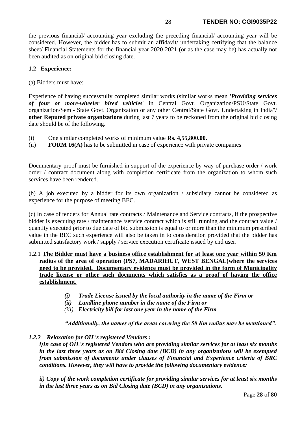the previous financial/ accounting year excluding the preceding financial/ accounting year will be considered. However, the bidder has to submit an affidavit/ undertaking certifying that the balance sheet/ Financial Statements for the financial year 2020-2021 (or as the case may be) has actually not been audited as on original bid closing date.

# **1.2 Experience:**

(a) Bidders must have:

Experience of having successfully completed similar works (similar works mean *'Providing services of four or more-wheeler hired vehicles*' in Central Govt. Organization/PSU/State Govt. organization/Semi- State Govt. Organization or any other Central/State Govt. Undertaking in India"/ **other Reputed private organizations** during last 7 years to be reckoned from the original bid closing date should be of the following.

- (i) One similar completed works of minimum value **Rs. 4,55,800.00.**
- (ii) **FORM 16(A)** has to be submitted in case of experience with private companies

Documentary proof must be furnished in support of the experience by way of purchase order / work order / contract document along with completion certificate from the organization to whom such services have been rendered.

(b) A job executed by a bidder for its own organization / subsidiary cannot be considered as experience for the purpose of meeting BEC.

(c) In case of tenders for Annual rate contracts / Maintenance and Service contracts, if the prospective bidder is executing rate / maintenance /service contract which is still running and the contract value / quantity executed prior to due date of bid submission is equal to or more than the minimum prescribed value in the BEC such experience will also be taken in to consideration provided that the bidder has submitted satisfactory work / supply / service execution certificate issued by end user.

- 1.2.1 **The Bidder must have a business office establishment for at least one year within 50 Km radius of the area of operation (PS7, MADARIHUT, WEST BENGAL)where the services need to be provided. Documentary evidence must be provided in the form of Municipality trade license or other such documents which satisfies as a proof of having the office establishment.** 
	- *(i) Trade License issued by the local authority in the name of the Firm or*
	- *(ii) Landline phone number in the name of the Firm or*
	- *(iii) Electricity bill for last one year in the name of the Firm*

*"Additionally, the names of the areas covering the 50 Km radius may be mentioned".*

*1.2.2 Relaxation for OIL's registered Vendors :*

 *i)In case of OIL's registered Vendors who are providing similar services for at least six months in the last three years as on Bid Closing date (BCD) in any organizations will be exempted from submission of documents under clauses of Financial and Experience criteria of BRC conditions. However, they will have to provide the following documentary evidence:*

*ii) Copy of the work completion certificate for providing similar services for at least six months in the last three years as on Bid Closing date (BCD) in any organizations.*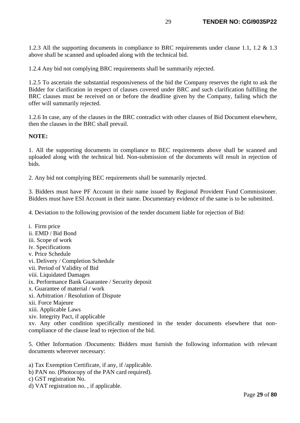1.2.3 All the supporting documents in compliance to BRC requirements under clause 1.1, 1.2 & 1.3 above shall be scanned and uploaded along with the technical bid.

1.2.4 Any bid not complying BRC requirements shall be summarily rejected.

1.2.5 To ascertain the substantial responsiveness of the bid the Company reserves the right to ask the Bidder for clarification in respect of clauses covered under BRC and such clarification fulfilling the BRC clauses must be received on or before the deadline given by the Company, failing which the offer will summarily rejected.

1.2.6 In case, any of the clauses in the BRC contradict with other clauses of Bid Document elsewhere, then the clauses in the BRC shall prevail.

#### **NOTE:**

1. All the supporting documents in compliance to BEC requirements above shall be scanned and uploaded along with the technical bid. Non-submission of the documents will result in rejection of bids.

2. Any bid not complying BEC requirements shall be summarily rejected.

3. Bidders must have PF Account in their name issued by Regional Provident Fund Commissioner. Bidders must have ESI Account in their name. Documentary evidence of the same is to be submitted.

4. Deviation to the following provision of the tender document liable for rejection of Bid:

i. Firm price ii. EMD / Bid Bond iii. Scope of work iv. Specifications v. Price Schedule vi. Delivery / Completion Schedule vii. Period of Validity of Bid viii. Liquidated Damages ix. Performance Bank Guarantee / Security deposit x. Guarantee of material / work xi. Arbitration / Resolution of Dispute xii. Force Majeure xiii. Applicable Laws xiv. Integrity Pact, if applicable

xv. Any other condition specifically mentioned in the tender documents elsewhere that noncompliance of the clause lead to rejection of the bid.

5. Other Information /Documents: Bidders must furnish the following information with relevant documents wherever necessary:

a) Tax Exemption Certificate, if any, if /applicable.

- b) PAN no. (Photocopy of the PAN card required).
- c) GST registration No.
- d) VAT registration no. , if applicable.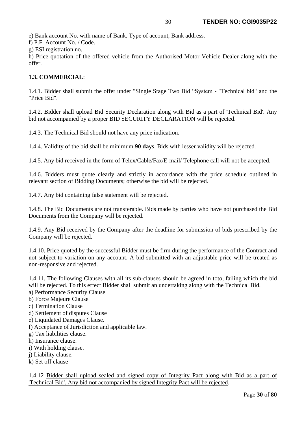e) Bank account No. with name of Bank, Type of account, Bank address.

f) P.F. Account No. / Code.

g) ESI registration no.

h) Price quotation of the offered vehicle from the Authorised Motor Vehicle Dealer along with the offer.

# **1.3. COMMERCIAL**:

1.4.1. Bidder shall submit the offer under "Single Stage Two Bid "System - "Technical bid" and the "Price Bid".

1.4.2. Bidder shall upload Bid Security Declaration along with Bid as a part of 'Technical Bid'. Any bid not accompanied by a proper BID SECURITY DECLARATION will be rejected.

1.4.3. The Technical Bid should not have any price indication.

1.4.4. Validity of the bid shall be minimum **90 days**. Bids with lesser validity will be rejected.

1.4.5. Any bid received in the form of Telex/Cable/Fax/E-mail/ Telephone call will not be accepted.

1.4.6. Bidders must quote clearly and strictly in accordance with the price schedule outlined in relevant section of Bidding Documents; otherwise the bid will be rejected.

1.4.7. Any bid containing false statement will be rejected.

1.4.8. The Bid Documents are not transferable. Bids made by parties who have not purchased the Bid Documents from the Company will be rejected.

1.4.9. Any Bid received by the Company after the deadline for submission of bids prescribed by the Company will be rejected.

1.4.10. Price quoted by the successful Bidder must be firm during the performance of the Contract and not subject to variation on any account. A bid submitted with an adjustable price will be treated as non-responsive and rejected.

1.4.11. The following Clauses with all its sub-clauses should be agreed in toto, failing which the bid will be rejected. To this effect Bidder shall submit an undertaking along with the Technical Bid.

a) Performance Security Clause

- b) Force Majeure Clause
- c) Termination Clause
- d) Settlement of disputes Clause
- e) Liquidated Damages Clause.
- f) Acceptance of Jurisdiction and applicable law.
- g) Tax liabilities clause.
- h) Insurance clause.
- i) With holding clause.
- j) Liability clause.
- k) Set off clause

1.4.12 Bidder shall upload sealed and signed copy of Integrity Pact along with Bid as a part of 'Technical Bid'. Any bid not accompanied by signed Integrity Pact will be rejected.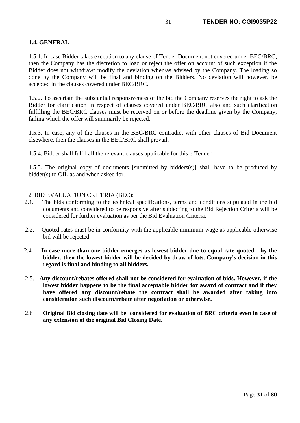# **1.4. GENERAL**

1.5.1. In case Bidder takes exception to any clause of Tender Document not covered under BEC/BRC, then the Company has the discretion to load or reject the offer on account of such exception if the Bidder does not withdraw/ modify the deviation when/as advised by the Company. The loading so done by the Company will be final and binding on the Bidders. No deviation will however, be accepted in the clauses covered under BEC/BRC.

1.5.2. To ascertain the substantial responsiveness of the bid the Company reserves the right to ask the Bidder for clarification in respect of clauses covered under BEC/BRC also and such clarification fulfilling the BEC/BRC clauses must be received on or before the deadline given by the Company, failing which the offer will summarily be rejected.

1.5.3. In case, any of the clauses in the BEC/BRC contradict with other clauses of Bid Document elsewhere, then the clauses in the BEC/BRC shall prevail.

1.5.4. Bidder shall fulfil all the relevant clauses applicable for this e-Tender.

1.5.5. The original copy of documents [submitted by bidders(s)] shall have to be produced by bidder(s) to OIL as and when asked for.

# 2. BID EVALUATION CRITERIA (BEC):

- 2.1. The bids conforming to the technical specifications, terms and conditions stipulated in the bid documents and considered to be responsive after subjecting to the Bid Rejection Criteria will be considered for further evaluation as per the Bid Evaluation Criteria.
- 2.2. Quoted rates must be in conformity with the applicable minimum wage as applicable otherwise bid will be rejected.
- 2.4. **In case more than one bidder emerges as lowest bidder due to equal rate quoted by the bidder, then the lowest bidder will be decided by draw of lots. Company's decision in this regard is final and binding to all bidders.**
- 2.5. **Any discount/rebates offered shall not be considered for evaluation of bids. However, if the lowest bidder happens to be the final acceptable bidder for award of contract and if they have offered any discount/rebate the contract shall be awarded after taking into consideration such discount/rebate after negotiation or otherwise.**
- 2.6 **Original Bid closing date will be considered for evaluation of BRC criteria even in case of any extension of the original Bid Closing Date.**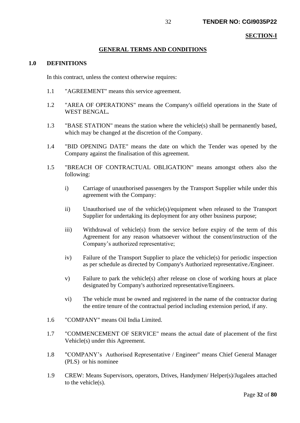#### **SECTION-I**

# **GENERAL TERMS AND CONDITIONS**

#### **1.0 DEFINITIONS**

In this contract, unless the context otherwise requires:

- 1.1 "AGREEMENT" means this service agreement.
- 1.2 "AREA OF OPERATIONS" means the Company's oilfield operations in the State of WEST BENGAL**.**
- 1.3 "BASE STATION" means the station where the vehicle(s) shall be permanently based, which may be changed at the discretion of the Company.
- 1.4 "BID OPENING DATE" means the date on which the Tender was opened by the Company against the finalisation of this agreement.
- 1.5 "BREACH OF CONTRACTUAL OBLIGATION" means amongst others also the following:
	- i) Carriage of unauthorised passengers by the Transport Supplier while under this agreement with the Company:
	- ii) Unauthorised use of the vehicle(s)/equipment when released to the Transport Supplier for undertaking its deployment for any other business purpose;
	- iii) Withdrawal of vehicle(s) from the service before expiry of the term of this Agreement for any reason whatsoever without the consent/instruction of the Company's authorized representative;
	- iv) Failure of the Transport Supplier to place the vehicle(s) for periodic inspection as per schedule as directed by Company's Authorized representative./Engineer.
	- v) Failure to park the vehicle(s) after release on close of working hours at place designated by Company's authorized representative/Engineers.
	- vi) The vehicle must be owned and registered in the name of the contractor during the entire tenure of the contractual period including extension period, if any.
- 1.6 "COMPANY" means Oil India Limited.
- 1.7 "COMMENCEMENT OF SERVICE" means the actual date of placement of the first Vehicle(s) under this Agreement.
- 1.8 "COMPANY's Authorised Representative / Engineer" means Chief General Manager (PLS) or his nominee
- 1.9 CREW: Means Supervisors, operators, Drives, Handymen/ Helper(s)/Jugalees attached to the vehicle(s).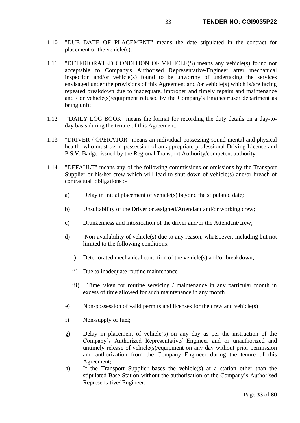- 1.10 "DUE DATE OF PLACEMENT" means the date stipulated in the contract for placement of the vehicle(s).
- 1.11 "DETERIORATED CONDITION OF VEHICLE(S) means any vehicle(s) found not acceptable to Company's Authorised Representative/Engineer after mechanical inspection and/or vehicle(s) found to be unworthy of undertaking the services envisaged under the provisions of this Agreement and /or vehicle(s) which is/are facing repeated breakdown due to inadequate, improper and timely repairs and maintenance and / or vehicle(s)/equipment refused by the Company's Engineer/user department as being unfit.
- 1.12 "DAILY LOG BOOK" means the format for recording the duty details on a day-today basis during the tenure of this Agreement.
- 1.13 "DRIVER / OPERATOR" means an individual possessing sound mental and physical health who must be in possession of an appropriate professional Driving License and P.S.V. Badge issued by the Regional Transport Authority/competent authority.
- 1.14 "DEFAULT" means any of the following commissions or omissions by the Transport Supplier or his/her crew which will lead to shut down of vehicle(s) and/or breach of contractual obligations :
	- a) Delay in initial placement of vehicle(s) beyond the stipulated date;
	- b) Unsuitability of the Driver or assigned/Attendant and/or working crew;
	- c) Drunkenness and intoxication of the driver and/or the Attendant/crew;
	- d) Non-availability of vehicle(s) due to any reason, whatsoever, including but not limited to the following conditions:
		- i) Deteriorated mechanical condition of the vehicle(s) and/or breakdown;
		- ii) Due to inadequate routine maintenance
		- iii) Time taken for routine servicing / maintenance in any particular month in excess of time allowed for such maintenance in any month
	- e) Non-possession of valid permits and licenses for the crew and vehicle(s)
	- f) Non-supply of fuel;
	- g) Delay in placement of vehicle(s) on any day as per the instruction of the Company's Authorized Representative/ Engineer and or unauthorized and untimely release of vehicle(s)/equipment on any day without prior permission and authorization from the Company Engineer during the tenure of this Agreement;
	- h) If the Transport Supplier bases the vehicle(s) at a station other than the stipulated Base Station without the authorisation of the Company's Authorised Representative/ Engineer;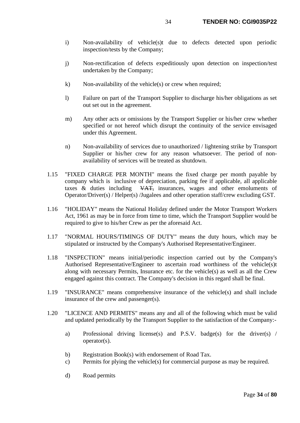- i) Non-availability of vehicle(s)t due to defects detected upon periodic inspection/tests by the Company;
- j) Non-rectification of defects expeditiously upon detection on inspection/test undertaken by the Company;
- k) Non-availability of the vehicle(s) or crew when required;
- l) Failure on part of the Transport Supplier to discharge his/her obligations as set out set out in the agreement.
- m) Any other acts or omissions by the Transport Supplier or his/her crew whether specified or not hereof which disrupt the continuity of the service envisaged under this Agreement.
- n) Non-availability of services due to unauthorized / lightening strike by Transport Supplier or his/her crew for any reason whatsoever. The period of nonavailability of services will be treated as shutdown.
- 1.15 "FIXED CHARGE PER MONTH" means the fixed charge per month payable by company which is inclusive of depreciation, parking fee if applicable, all applicable taxes & duties including VAT, insurances, wages and other emoluments of Operator/Driver(s) / Helper(s) /Jugalees and other operation staff/crew excluding GST.
- 1.16 "HOLIDAY" means the National Holiday defined under the Motor Transport Workers Act, 1961 as may be in force from time to time, which the Transport Supplier would be required to give to his/her Crew as per the aforesaid Act.
- 1.17 "NORMAL HOURS/TIMINGS OF DUTY" means the duty hours, which may be stipulated or instructed by the Company's Authorised Representative/Engineer.
- 1.18 "INSPECTION" means initial/periodic inspection carried out by the Company's Authorised Representative/Engineer to ascertain road worthiness of the vehicle(s)t along with necessary Permits, Insurance etc. for the vehicle(s) as well as all the Crew engaged against this contract. The Company's decision in this regard shall be final.
- 1.19 "INSURANCE" means comprehensive insurance of the vehicle(s) and shall include insurance of the crew and passenger(s).
- 1.20 "LICENCE AND PERMITS" means any and all of the following which must be valid and updated periodically by the Transport Supplier to the satisfaction of the Company:
	- a) Professional driving license(s) and P.S.V. badge(s) for the driver(s) / operator(s).
	- b) Registration Book(s) with endorsement of Road Tax.
	- c) Permits for plying the vehicle(s) for commercial purpose as may be required.
	- d) Road permits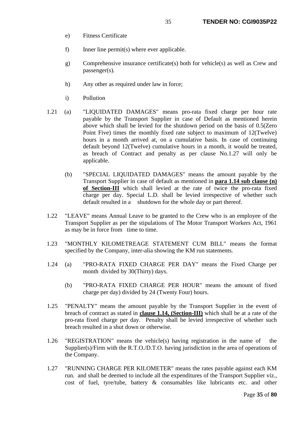- e) Fitness Certificate
- f) Inner line permit(s) where ever applicable.
- g) Comprehensive insurance certificate(s) both for vehicle(s) as well as Crew and passenger(s).
- h) Any other as required under law in force;
- i) Pollution
- 1.21 (a) "LIQUIDATED DAMAGES" means pro-rata fixed charge per hour rate payable by the Transport Supplier in case of Default as mentioned herein above which shall be levied for the shutdown period on the basis of 0.5(Zero Point Five) times the monthly fixed rate subject to maximum of 12(Twelve) hours in a month arrived at, on a cumulative basis. In case of continuing default beyond 12(Twelve) cumulative hours in a month, it would be treated, as breach of Contract and penalty as per clause No.1.27 will only be applicable.
	- (b) "SPECIAL LIQUIDATED DAMAGES" means the amount payable by the Transport Supplier in case of default as mentioned in **para 1.14 sub clause (n) of Section-III** which shall levied at the rate of twice the pro-rata fixed charge per day. Special L.D. shall be levied irrespective of whether such default resulted in a shutdown for the whole day or part thereof.
- 1.22 "LEAVE" means Annual Leave to be granted to the Crew who is an employee of the Transport Supplier as per the stipulations of The Motor Transport Workers Act, 1961 as may be in force from time to time.
- 1.23 "MONTHLY KILOMETREAGE STATEMENT CUM BILL" means the format specified by the Company, inter-alia showing the KM run statements.
- 1.24 (a) "PRO-RATA FIXED CHARGE PER DAY" means the Fixed Charge per month divided by 30(Thirty) days.
	- (b) "PRO-RATA FIXED CHARGE PER HOUR" means the amount of fixed charge per day) divided by 24 (Twenty Four) hours.
- 1.25 "PENALTY" means the amount payable by the Transport Supplier in the event of breach of contract as stated in **clause 1.14, (Section-III)** which shall be at a rate of the pro-rata fixed charge per day. Penalty shall be levied irrespective of whether such breach resulted in a shut down or otherwise.
- 1.26 "REGISTRATION" means the vehicle(s) having registration in the name of the Supplier(s)/Firm with the R.T.O./D.T.O. having jurisdiction in the area of operations of the Company.
- 1.27 "RUNNING CHARGE PER KILOMETER" means the rates payable against each KM run. and shall be deemed to include all the expenditures of the Transport Supplier viz., cost of fuel, tyre/tube, battery & consumables like lubricants etc. and other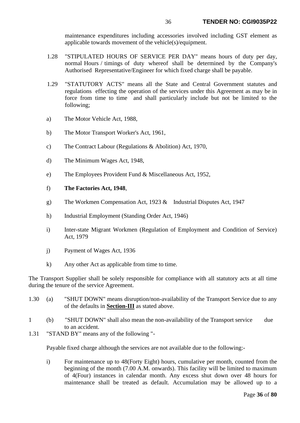maintenance expenditures including accessories involved including GST element as applicable towards movement of the vehicle(s)/equipment.

- 1.28 "STIPULATED HOURS OF SERVICE PER DAY" means hours of duty per day, normal Hours / timings of duty whereof shall be determined by the Company's Authorised Representative/Engineer for which fixed charge shall be payable.
- 1.29 "STATUTORY ACTS" means all the State and Central Government statutes and regulations effecting the operation of the services under this Agreement as may be in force from time to time and shall particularly include but not be limited to the following;
- a) The Motor Vehicle Act, 1988,
- b) The Motor Transport Worker's Act, 1961,
- c) The Contract Labour (Regulations & Abolition) Act, 1970,
- d) The Minimum Wages Act, 1948,
- e) The Employees Provident Fund & Miscellaneous Act, 1952,
- f) **The Factories Act, 1948**,
- g) The Workmen Compensation Act, 1923 & Industrial Disputes Act, 1947
- h) Industrial Employment (Standing Order Act, 1946)
- i) Inter-state Migrant Workmen (Regulation of Employment and Condition of Service) Act, 1979
- j) Payment of Wages Act, 1936
- k) Any other Act as applicable from time to time.

The Transport Supplier shall be solely responsible for compliance with all statutory acts at all time during the tenure of the service Agreement.

- 1.30 (a) "SHUT DOWN" means disruption/non-availability of the Transport Service due to any of the defaults in **Section-III** as stated above.
- 1 (b) "SHUT DOWN" shall also mean the non-availability of the Transport service due to an accident.
- 1.31 "STAND BY" means any of the following "-

Payable fixed charge although the services are not available due to the following:-

i) For maintenance up to 48(Forty Eight) hours, cumulative per month, counted from the beginning of the month (7.00 A.M. onwards). This facility will be limited to maximum of 4(Four) instances in calendar month. Any excess shut down over 48 hours for maintenance shall be treated as default. Accumulation may be allowed up to a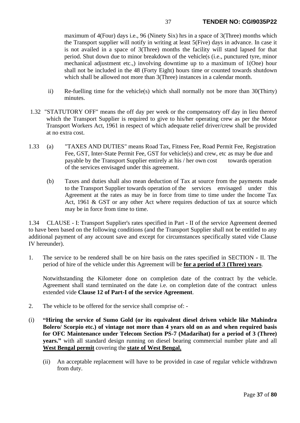maximum of 4(Four) days i.e., 96 (Ninety Six) hrs in a space of 3(Three) months which the Transport supplier will notify in writing at least 5(Five) days in advance. In case it is not availed in a space of 3(Three) months the facility will stand lapsed for that period. Shut down due to minor breakdown of the vehicle(s (i.e., punctured tyre, minor mechanical adjustment etc.,) involving downtime up to a maximum of 1(One) hour shall not be included in the 48 (Forty Eight) hours time or counted towards shutdown which shall be allowed not more than 3(Three) instances in a calendar month.

- ii) Re-fuelling time for the vehicle(s) which shall normally not be more than 30(Thirty) minutes.
- 1.32 "STATUTORY OFF" means the off day per week or the compensatory off day in lieu thereof which the Transport Supplier is required to give to his/her operating crew as per the Motor Transport Workers Act, 1961 in respect of which adequate relief driver/crew shall be provided at no extra cost.
- 1.33 (a) "TAXES AND DUTIES" means Road Tax, Fitness Fee, Road Permit Fee, Registration Fee, GST, Inter-State Permit Fee, GST for vehicle(s) and crew, etc as may be due and payable by the Transport Supplier entirely at his / her own cost towards operation of the services envisaged under this agreement.
	- (b) Taxes and duties shall also mean deduction of Tax at source from the payments made to the Transport Supplier towards operation of the services envisaged under this Agreement at the rates as may be in force from time to time under the Income Tax Act, 1961 & GST or any other Act where requires deduction of tax at source which may be in force from time to time.

1.34 CLAUSE - I: Transport Supplier's rates specified in Part - II of the service Agreement deemed to have been based on the following conditions (and the Transport Supplier shall not be entitled to any additional payment of any account save and except for circumstances specifically stated vide Clause IV hereunder).

1. The service to be rendered shall be on hire basis on the rates specified in SECTION **-** II. The period of hire of the vehicle under this Agreement will be **for a period of 3 (Three) years**.

Notwithstanding the Kilometer done on completion date of the contract by the vehicle. Agreement shall stand terminated on the date i.e. on completion date of the contract unless extended vide **Clause 12 of Part-I of the service Agreement**.

- 2. The vehicle to be offered for the service shall comprise of: -
- (i) **"Hiring the service of Sumo Gold (or its equivalent diesel driven vehicle like Mahindra Bolero/ Scorpio etc.) of vintage not more than 4 years old on as and when required basis for OFC Maintenance under Telecom Section PS-7 (Madarihat) for a period of 3 (Three) years."** with all standard design running on diesel bearing commercial number plate and all **West Bengal permit** covering the **state of West Bengal.**
	- (ii) An acceptable replacement will have to be provided in case of regular vehicle withdrawn from duty.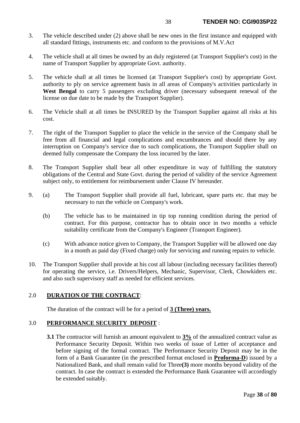- 3. The vehicle described under (2) above shall be new ones in the first instance and equipped with all standard fittings, instruments etc. and conform to the provisions of M.V.Act
- 4. The vehicle shall at all times be owned by an duly registered (at Transport Supplier's cost) in the name of Transport Supplier by appropriate Govt. authority.
- 5. The vehicle shall at all times be licensed (at Transport Supplier's cost) by appropriate Govt. authority to ply on service agreement basis in all areas of Company's activities particularly in **West Bengal** to carry 5 passengers excluding driver (necessary subsequent renewal of the license on due date to be made by the Transport Supplier).
- 6. The Vehicle shall at all times be INSURED by the Transport Supplier against all risks at his cost.
- 7. The right of the Transport Supplier to place the vehicle in the service of the Company shall be free from all financial and legal complications and encumbrances and should there by any interruption on Company's service due to such complications, the Transport Supplier shall on deemed fully compensate the Company the loss incurred by the later.
- 8. The Transport Supplier shall bear all other expenditure in way of fulfilling the statutory obligations of the Central and State Govt. during the period of validity of the service Agreement subject only, to entitlement for reimbursement under Clause IV hereunder.
- 9. (a) The Transport Supplier shall provide all fuel, lubricant, spare parts etc. that may be necessary to run the vehicle on Company's work.
	- (b) The vehicle has to be maintained in tip top running condition during the period of contract. For this purpose, contractor has to obtain once in two months a vehicle suitability certificate from the Company's Engineer (Transport Engineer).
	- (c) With advance notice given to Company, the Transport Supplier will be allowed one day in a month as paid day (Fixed charge) only for servicing and running repairs to vehicle.
- 10. The Transport Supplier shall provide at his cost all labour (including necessary facilities thereof) for operating the service, i.e. Drivers/Helpers, Mechanic, Supervisor, Clerk, Chowkiders etc. and also such supervisory staff as needed for efficient services.

# 2.0 **DURATION OF THE CONTRACT**:

The duration of the contract will be for a period of **3 (Three) years.**

## 3.0 **PERFORMANCE SECURITY DEPOSIT** :

**3.1** The contractor will furnish an amount equivalent to  $3\%$  of the annualized contract value as Performance Security Deposit. Within two weeks of issue of Letter of acceptance and before signing of the formal contract. The Performance Security Deposit may be in the form of a Bank Guarantee (in the prescribed format enclosed in **Proforma-D**) issued by a Nationalized Bank, and shall remain valid for Three**(3)** more months beyond validity of the contract. In case the contract is extended the Performance Bank Guarantee will accordingly be extended suitably.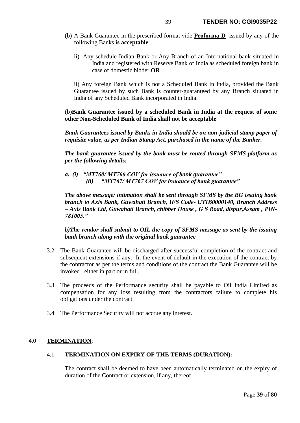- (b) A Bank Guarantee in the prescribed format vide **Proforma-D** issued by any of the following Banks **is acceptable**:
	- ii) Any schedule Indian Bank or Any Branch of an International bank situated in India and registered with Reserve Bank of India as scheduled foreign bank in case of domestic bidder **OR**

ii) Any foreign Bank which is not a Scheduled Bank in India, provided the Bank Guarantee issued by such Bank is counter-guaranteed by any Branch situated in India of any Scheduled Bank incorporated in India.

(b)**Bank Guarantee issued by a scheduled Bank in India at the request of some other Non-Scheduled Bank of India shall not be acceptable**

*Bank Guarantees issued by Banks in India should be on non-judicial stamp paper of requisite value, as per Indian Stamp Act, purchased in the name of the Banker.*

*The bank guarantee issued by the bank must be routed through SFMS platform as per the following details:*

*a. (i) "MT760/ MT760 COV for issuance of bank guarantee" (ii) "MT767/ MT767 COV for issuance of bank guarantee"*

*The above message/ intimation shall be sent through SFMS by the BG issuing bank branch to Axis Bank, Guwahati Branch, IFS Code- UTIB0000140, Branch Address – Axis Bank Ltd, Guwahati Branch, chibber House , G S Road, dispur,Assam , PIN-781005."*

*b)The vendor shall submit to OIL the copy of SFMS message as sent by the issuing bank branch along with the original bank guarantee*

- 3.2 The Bank Guarantee will be discharged after successful completion of the contract and subsequent extensions if any. In the event of default in the execution of the contract by the contractor as per the terms and conditions of the contract the Bank Guarantee will be invoked either in part or in full.
- 3.3 The proceeds of the Performance security shall be payable to Oil India Limited as compensation for any loss resulting from the contractors failure to complete his obligations under the contract.
- 3.4 The Performance Security will not accrue any interest.

## 4.0 **TERMINATION**:

## 4.1 **TERMINATION ON EXPIRY OF THE TERMS (DURATION):**

The contract shall be deemed to have been automatically terminated on the expiry of duration of the Contract or extension, if any, thereof.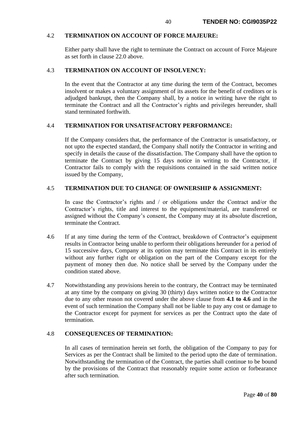## 4.2 **TERMINATION ON ACCOUNT OF FORCE MAJEURE:**

Either party shall have the right to terminate the Contract on account of Force Majeure as set forth in clause 22.0 above.

### 4.3 **TERMINATION ON ACCOUNT OF INSOLVENCY:**

In the event that the Contractor at any time during the term of the Contract, becomes insolvent or makes a voluntary assignment of its assets for the benefit of creditors or is adjudged bankrupt, then the Company shall, by a notice in writing have the right to terminate the Contract and all the Contractor's rights and privileges hereunder, shall stand terminated forthwith.

## 4.4 **TERMINATION FOR UNSATISFACTORY PERFORMANCE:**

If the Company considers that, the performance of the Contractor is unsatisfactory, or not upto the expected standard, the Company shall notify the Contractor in writing and specify in details the cause of the dissatisfaction. The Company shall have the option to terminate the Contract by giving 15 days notice in writing to the Contractor, if Contractor fails to comply with the requisitions contained in the said written notice issued by the Company,

### 4.5 **TERMINATION DUE TO CHANGE OF OWNERSHIP & ASSIGNMENT:**

In case the Contractor's rights and / or obligations under the Contract and/or the Contractor's rights, title and interest to the equipment/material, are transferred or assigned without the Company's consent, the Company may at its absolute discretion, terminate the Contract.

- 4.6 If at any time during the term of the Contract, breakdown of Contractor's equipment results in Contractor being unable to perform their obligations hereunder for a period of 15 successive days, Company at its option may terminate this Contract in its entirely without any further right or obligation on the part of the Company except for the payment of money then due. No notice shall be served by the Company under the condition stated above.
- 4.7 Notwithstanding any provisions herein to the contrary, the Contract may be terminated at any time by the company on giving 30 (thirty) days written notice to the Contractor due to any other reason not covered under the above clause from **4.1 to 4.6** and in the event of such termination the Company shall not be liable to pay any cost or damage to the Contractor except for payment for services as per the Contract upto the date of termination.

## 4.8 **CONSEQUENCES OF TERMINATION:**

In all cases of termination herein set forth, the obligation of the Company to pay for Services as per the Contract shall be limited to the period upto the date of termination. Notwithstanding the termination of the Contract, the parties shall continue to be bound by the provisions of the Contract that reasonably require some action or forbearance after such termination.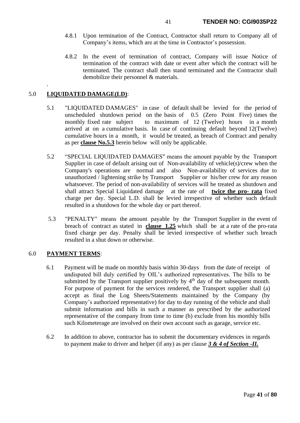- 4.8.1 Upon termination of the Contract, Contractor shall return to Company all of Company's items, which are at the time in Contractor's possession.
- 4.8.2 In the event of termination of contract, Company will issue Notice of termination of the contract with date or event after which the contract will be terminated. The contract shall then stand terminated and the Contractor shall demobilize their personnel & materials.

# 5.0 **LIQUIDATED DAMAGE(LD)**:

.

- 5.1 "LIQUIDATED DAMAGES" in case of default shall be levied for the period of unscheduled shutdown period on the basis of 0.5 (Zero Point Five) times the monthly fixed rate subject to maximum of 12 (Twelve) hours in a month arrived at on a cumulative basis. In case of continuing default beyond 12(Twelve) cumulative hours in a month, it would be treated, as breach of Contract and penalty as per **clause No.5.3** herein below will only be applicable.
- 5.2 "SPECIAL LIQUIDATED DAMAGES" means the amount payable by the Transport Supplier in case of default arising out of Non-availability of vehicle(s)/crew when the Company's operations are normal and also Non-availability of services due to unauthorized / lightening strike by Transport Supplier or his/her crew for any reason whatsoever. The period of non-availability of services will be treated as shutdown and shall attract Special Liquidated damage at the rate of **twice the pro- rata** fixed charge per day. Special L.D. shall be levied irrespective of whether such default resulted in a shutdown for the whole day or part thereof.
- 5.3 "PENALTY" means the amount payable by the Transport Supplier in the event of breach of contract as stated in **clause 1.25** which shall be at a rate of the pro-rata fixed charge per day. Penalty shall be levied irrespective of whether such breach resulted in a shut down or otherwise.

## 6.0 **PAYMENT TERMS**:

- 6.1 Payment will be made on monthly basis within 30-days from the date of receipt of undisputed bill duly certified by OIL's authorized representatives. The bills to be submitted by the Transport supplier positively by  $4<sup>th</sup>$  day of the subsequent month. For purpose of payment for the services rendered, the Transport supplier shall (a) accept as final the Log Sheets/Statements maintained by the Company (by Company's authorized representative) for day to day running of the vehicle and shall submit information and bills in such a manner as prescribed by the authorized representative of the company from time to time (b) exclude from his monthly bills such Kilometerage are involved on their own account such as garage, service etc.
- 6.2 In addition to above, contractor has to submit the documentary evidences in regards to payment make to driver and helper (if any) as per clause *3 & 4 of Section -II.*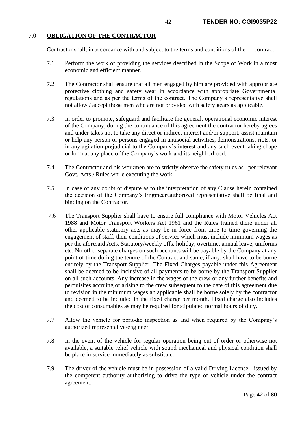# 7.0 **OBLIGATION OF THE CONTRACTOR**

Contractor shall, in accordance with and subject to the terms and conditions of the contract

- 7.1 Perform the work of providing the services described in the Scope of Work in a most economic and efficient manner.
- 7.2 The Contractor shall ensure that all men engaged by him are provided with appropriate protective clothing and safety wear in accordance with appropriate Governmental regulations and as per the terms of the contract. The Company's representative shall not allow / accept those men who are not provided with safety gears as applicable.
- 7.3 In order to promote, safeguard and facilitate the general, operational economic interest of the Company, during the continuance of this agreement the contractor hereby agrees and under takes not to take any direct or indirect interest and/or support, assist maintain or help any person or persons engaged in antisocial activities, demonstrations, riots, or in any agitation prejudicial to the Company's interest and any such event taking shape or form at any place of the Company's work and its neighborhood.
- 7.4 The Contractor and his workmen are to strictly observe the safety rules as per relevant Govt. Acts / Rules while executing the work.
- 7.5 In case of any doubt or dispute as to the interpretation of any Clause herein contained the decision of the Company's Engineer/authorized representative shall be final and binding on the Contractor.
- 7.6 The Transport Supplier shall have to ensure full compliance with Motor Vehicles Act 1988 and Motor Transport Workers Act 1961 and the Rules framed there under all other applicable statutory acts as may be in force from time to time governing the engagement of staff, their conditions of service which must include minimum wages as per the aforesaid Acts, Statutory/weekly offs, holiday, overtime, annual leave, uniforms etc. No other separate charges on such accounts will be payable by the Company at any point of time during the tenure of the Contract and same, if any, shall have to be borne entirely by the Transport Supplier. The Fixed Charges payable under this Agreement shall be deemed to be inclusive of all payments to be borne by the Transport Supplier on all such accounts. Any increase in the wages of the crew or any further benefits and perquisites accruing or arising to the crew subsequent to the date of this agreement due to revision in the minimum wages an applicable shall be borne solely by the contractor and deemed to be included in the fixed charge per month. Fixed charge also includes the cost of consumables as may be required for stipulated normal hours of duty.
- 7.7 Allow the vehicle for periodic inspection as and when required by the Company's authorized representative/engineer
- 7.8 In the event of the vehicle for regular operation being out of order or otherwise not available, a suitable relief vehicle with sound mechanical and physical condition shall be place in service immediately as substitute.
- 7.9 The driver of the vehicle must be in possession of a valid Driving License issued by the competent authority authorizing to drive the type of vehicle under the contract agreement.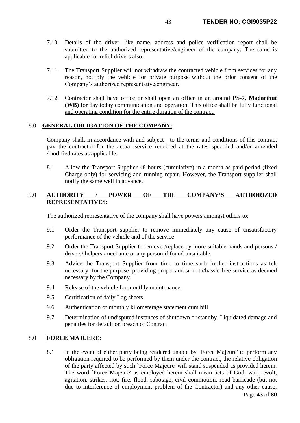- 7.10 Details of the driver, like name, address and police verification report shall be submitted to the authorized representative/engineer of the company. The same is applicable for relief drivers also.
- 7.11 The Transport Supplier will not withdraw the contracted vehicle from services for any reason, not ply the vehicle for private purpose without the prior consent of the Company's authorized representative/engineer.
- 7.12 Contractor shall have office or shall open an office in an around **PS-7, Madarihut (WB)** for day today communication and operation. This office shall be fully functional and operating condition for the entire duration of the contract.

## 8.0 **GENERAL OBLIGATION OF THE COMPANY:**

Company shall, in accordance with and subject to the terms and conditions of this contract pay the contractor for the actual service rendered at the rates specified and/or amended /modified rates as applicable.

8.1 Allow the Transport Supplier 48 hours (cumulative) in a month as paid period (fixed Charge only) for servicing and running repair. However, the Transport supplier shall notify the same well in advance.

# 9.0 **AUTHORITY / POWER OF THE COMPANY'S AUTHORIZED REPRESENTATIVES:**

The authorized representative of the company shall have powers amongst others to:

- 9.1 Order the Transport supplier to remove immediately any cause of unsatisfactory performance of the vehicle and of the service
- 9.2 Order the Transport Supplier to remove /replace by more suitable hands and persons / drivers/ helpers /mechanic or any person if found unsuitable.
- 9.3 Advice the Transport Supplier from time to time such further instructions as felt necessary for the purpose providing proper and smooth/hassle free service as deemed necessary by the Company.
- 9.4 Release of the vehicle for monthly maintenance.
- 9.5 Certification of daily Log sheets
- 9.6 Authentication of monthly kilometerage statement cum bill
- 9.7 Determination of undisputed instances of shutdown or standby, Liquidated damage and penalties for default on breach of Contract.

## 8.0 **FORCE MAJUERE:**

8.1 In the event of either party being rendered unable by `Force Majeure' to perform any obligation required to be performed by them under the contract, the relative obligation of the party affected by such `Force Majeure' will stand suspended as provided herein. The word `Force Majeure' as employed herein shall mean acts of God, war, revolt, agitation, strikes, riot, fire, flood, sabotage, civil commotion, road barricade (but not due to interference of employment problem of the Contractor) and any other cause,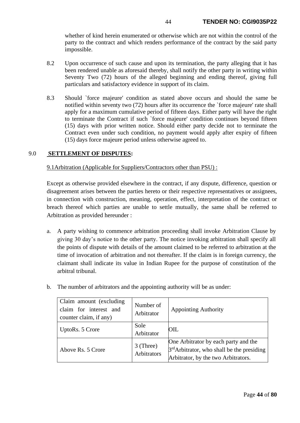whether of kind herein enumerated or otherwise which are not within the control of the party to the contract and which renders performance of the contract by the said party impossible.

- 8.2 Upon occurrence of such cause and upon its termination, the party alleging that it has been rendered unable as aforesaid thereby, shall notify the other party in writing within Seventy Two (72) hours of the alleged beginning and ending thereof, giving full particulars and satisfactory evidence in support of its claim.
- 8.3 Should `force majeure' condition as stated above occurs and should the same be notified within seventy two (72) hours after its occurrence the `force majeure' rate shall apply for a maximum cumulative period of fifteen days. Either party will have the right to terminate the Contract if such `force majeure' condition continues beyond fifteen (15) days with prior written notice. Should either party decide not to terminate the Contract even under such condition, no payment would apply after expiry of fifteen (15) days force majeure period unless otherwise agreed to.

## 9.0 **SETTLEMENT OF DISPUTES:**

## 9.1Arbitration (Applicable for Suppliers/Contractors other than PSU) :

Except as otherwise provided elsewhere in the contract, if any dispute, difference, question or disagreement arises between the parties hereto or their respective representatives or assignees, in connection with construction, meaning, operation, effect, interpretation of the contract or breach thereof which parties are unable to settle mutually, the same shall be referred to Arbitration as provided hereunder :

a. A party wishing to commence arbitration proceeding shall invoke Arbitration Clause by giving 30 day's notice to the other party. The notice invoking arbitration shall specify all the points of dispute with details of the amount claimed to be referred to arbitration at the time of invocation of arbitration and not thereafter. If the claim is in foreign currency, the claimant shall indicate its value in Indian Rupee for the purpose of constitution of the arbitral tribunal.

| Claim amount (excluding<br>claim for interest and<br>counter claim, if any) | Number of<br>Arbitrator  | <b>Appointing Authority</b>                                                                                                 |  |  |  |  |
|-----------------------------------------------------------------------------|--------------------------|-----------------------------------------------------------------------------------------------------------------------------|--|--|--|--|
| UptoRs. 5 Crore                                                             | Sole<br>Arbitrator       | OIL.                                                                                                                        |  |  |  |  |
| Above Rs. 5 Crore                                                           | 3 (Three)<br>Arbitrators | One Arbitrator by each party and the<br>$3rd$ Arbitrator, who shall be the presiding<br>Arbitrator, by the two Arbitrators. |  |  |  |  |

b. The number of arbitrators and the appointing authority will be as under: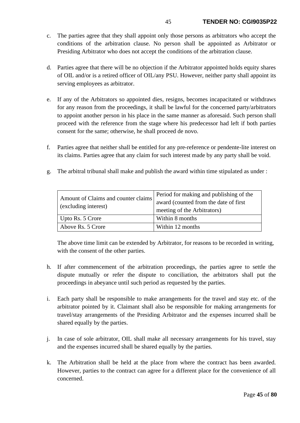- c. The parties agree that they shall appoint only those persons as arbitrators who accept the conditions of the arbitration clause. No person shall be appointed as Arbitrator or Presiding Arbitrator who does not accept the conditions of the arbitration clause.
- d. Parties agree that there will be no objection if the Arbitrator appointed holds equity shares of OIL and/or is a retired officer of OIL/any PSU. However, neither party shall appoint its serving employees as arbitrator.
- e. If any of the Arbitrators so appointed dies, resigns, becomes incapacitated or withdraws for any reason from the proceedings, it shall be lawful for the concerned party/arbitrators to appoint another person in his place in the same manner as aforesaid. Such person shall proceed with the reference from the stage where his predecessor had left if both parties consent for the same; otherwise, he shall proceed de novo.
- f. Parties agree that neither shall be entitled for any pre-reference or pendente-lite interest on its claims. Parties agree that any claim for such interest made by any party shall be void.
- g. The arbitral tribunal shall make and publish the award within time stipulated as under :

| Amount of Claims and counter claims<br>(excluding interest) | Period for making and publishing of the<br>award (counted from the date of first<br>meeting of the Arbitrators) |
|-------------------------------------------------------------|-----------------------------------------------------------------------------------------------------------------|
| Upto Rs. 5 Crore                                            | Within 8 months                                                                                                 |
| Above Rs. 5 Crore                                           | Within 12 months                                                                                                |

The above time limit can be extended by Arbitrator, for reasons to be recorded in writing, with the consent of the other parties.

- h. If after commencement of the arbitration proceedings, the parties agree to settle the dispute mutually or refer the dispute to conciliation, the arbitrators shall put the proceedings in abeyance until such period as requested by the parties.
- i. Each party shall be responsible to make arrangements for the travel and stay etc. of the arbitrator pointed by it. Claimant shall also be responsible for making arrangements for travel/stay arrangements of the Presiding Arbitrator and the expenses incurred shall be shared equally by the parties.
- j. In case of sole arbitrator, OIL shall make all necessary arrangements for his travel, stay and the expenses incurred shall be shared equally by the parties.
- k. The Arbitration shall be held at the place from where the contract has been awarded. However, parties to the contract can agree for a different place for the convenience of all concerned.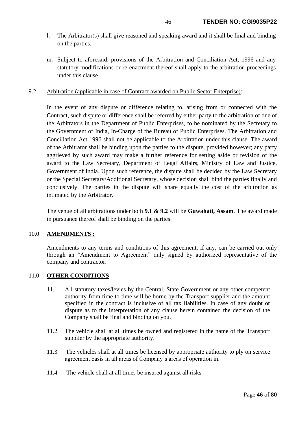- l. The Arbitrator(s) shall give reasoned and speaking award and it shall be final and binding on the parties.
- m. Subject to aforesaid, provisions of the Arbitration and Conciliation Act, 1996 and any statutory modifications or re-enactment thereof shall apply to the arbitration proceedings under this clause.

### 9.2 Arbitration (applicable in case of Contract awarded on Public Sector Enterprise):

In the event of any dispute or difference relating to, arising from or connected with the Contract, such dispute or difference shall be referred by either party to the arbitration of one of the Arbitrators in the Department of Public Enterprises, to be nominated by the Secretary to the Government of India, In-Charge of the Bureau of Public Enterprises. The Arbitration and Conciliation Act 1996 shall not be applicable to the Arbitration under this clause. The award of the Arbitrator shall be binding upon the parties to the dispute, provided however; any party aggrieved by such award may make a further reference for setting aside or revision of the award to the Law Secretary, Department of Legal Affairs, Ministry of Law and Justice, Government of India. Upon such reference, the dispute shall be decided by the Law Secretary or the Special Secretary/Additional Secretary, whose decision shall bind the parties finally and conclusively. The parties in the dispute will share equally the cost of the arbitration as intimated by the Arbitrator.

The venue of all arbitrations under both **9.1 & 9.2** will be **Guwahati, Assam**. The award made in pursuance thereof shall be binding on the parties.

## 10.0 **AMENDMENTS :**

Amendments to any terms and conditions of this agreement, if any, can be carried out only through an "Amendment to Agreement" duly signed by authorized representative of the company and contractor.

## 11.0 **OTHER CONDITIONS**

- 11.1 All statutory taxes/levies by the Central, State Government or any other competent authority from time to time will be borne by the Transport supplier and the amount specified in the contract is inclusive of all tax liabilities. In case of any doubt or dispute as to the interpretation of any clause herein contained the decision of the Company shall be final and binding on you.
- 11.2 The vehicle shall at all times be owned and registered in the name of the Transport supplier by the appropriate authority.
- 11.3 The vehicles shall at all times be licensed by appropriate authority to ply on service agreement basis in all areas of Company's areas of operation in.
- 11.4 The vehicle shall at all times be insured against all risks.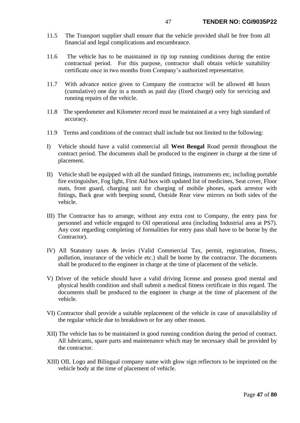- 11.5 The Transport supplier shall ensure that the vehicle provided shall be free from all financial and legal complications and encumbrance.
- 11.6 The vehicle has to be maintained in tip top running conditions during the entire contractual period. For this purpose, contractor shall obtain vehicle suitability certificate once in two months from Company's authorized representative.
- 11.7 With advance notice given to Company the contractor will be allowed 48 hours (cumulative) one day in a month as paid day (fixed charge) only for servicing and running repairs of the vehicle.
- 11.8 The speedometer and Kilometer record must be maintained at a very high standard of accuracy.
- 11.9 Terms and conditions of the contract shall include but not limited to the following:
- I) Vehicle should have a valid commercial all **West Bengal** Road permit throughout the contract period. The documents shall be produced to the engineer in charge at the time of placement.
- II) Vehicle shall be equipped with all the standard fittings, instruments etc, including portable fire extinguisher, Fog light, First Aid box with updated list of medicines, Seat cover, Floor mats, front guard, charging unit for charging of mobile phones, spark arrestor with fittings, Back gear with beeping sound, Outside Rear view mirrors on both sides of the vehicle.
- III) The Contractor has to arrange, without any extra cost to Company, the entry pass for personnel and vehicle engaged to Oil operational area (including Industrial area at PS7). Any cost regarding completing of formalities for entry pass shall have to be borne by the Contractor).
- IV) All Statutory taxes & levies (Valid Commercial Tax, permit, registration, fitness, pollution, insurance of the vehicle etc.) shall be borne by the contractor. The documents shall be produced to the engineer in charge at the time of placement of the vehicle.
- V) Driver of the vehicle should have a valid driving license and possess good mental and physical health condition and shall submit a medical fitness certificate in this regard. The documents shall be produced to the engineer in charge at the time of placement of the vehicle.
- VI) Contractor shall provide a suitable replacement of the vehicle in case of unavailability of the regular vehicle due to breakdown or for any other reason.
- XII) The vehicle has to be maintained in good running condition during the period of contract. All lubricants, spare parts and maintenance which may be necessary shall be provided by the contractor.
- XIII) OIL Logo and Bilingual company name with glow sign reflectors to be imprinted on the vehicle body at the time of placement of vehicle.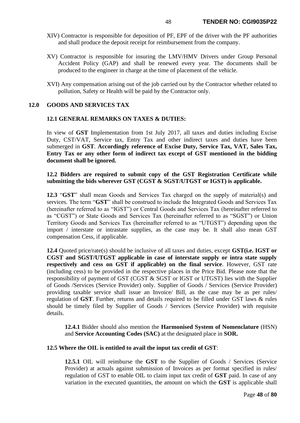- XIV) Contractor is responsible for deposition of PF, EPF of the driver with the PF authorities and shall produce the deposit receipt for reimbursement from the company.
- XV) Contractor is responsible for insuring the LMV/HMV Drivers under Group Personal Accident Policy (GAP) and shall be renewed every year. The documents shall be produced to the engineer in charge at the time of placement of the vehicle.
- XVI) Any compensation arising out of the job carried out by the Contractor whether related to pollution, Safety or Health will be paid by the Contractor only.

### **12.0 GOODS AND SERVICES TAX**

### **12.1 GENERAL REMARKS ON TAXES & DUTIES:**

In view of **GST** Implementation from 1st July 2017, all taxes and duties including Excise Duty, CST/VAT, Service tax, Entry Tax and other indirect taxes and duties have been submerged in **GST**. **Accordingly reference of Excise Duty, Service Tax, VAT, Sales Tax, Entry Tax or any other form of indirect tax except of GST mentioned in the bidding document shall be ignored.** 

## **12.2 Bidders are required to submit copy of the GST Registration Certificate while submitting the bids wherever GST (CGST & SGST/UTGST or IGST) is applicable.**

**12.3** "**GST**" shall mean Goods and Services Tax charged on the supply of material(s) and services. The term "**GST**" shall be construed to include the Integrated Goods and Services Tax (hereinafter referred to as "IGST") or Central Goods and Services Tax (hereinafter referred to as "CGST") or State Goods and Services Tax (hereinafter referred to as "SGST") or Union Territory Goods and Services Tax (hereinafter referred to as "UTGST") depending upon the import / interstate or intrastate supplies, as the case may be. It shall also mean GST compensation Cess, if applicable.

**12.4** Quoted price/rate(s) should be inclusive of all taxes and duties, except **GST(i.e. IGST or CGST and SGST/UTGST applicable in case of interstate supply or intra state supply respectively and cess on GST if applicable) on the final service**. However, GST rate (including cess) to be provided in the respective places in the Price Bid. Please note that the responsibility of payment of GST (CGST & SGST or IGST or UTGST) lies with the Supplier of Goods /Services (Service Provider) only. Supplier of Goods / Services (Service Provider) providing taxable service shall issue an Invoice/ Bill, as the case may be as per rules/ regulation of **GST**. Further, returns and details required to be filled under GST laws & rules should be timely filed by Supplier of Goods / Services (Service Provider) with requisite details.

**12.4.1** Bidder should also mention the **Harmonised System of Nomenclature** (HSN) and **Service Accounting Codes (SAC)** at the designated place in **SOR.**

#### **12.5 Where the OIL is entitled to avail the input tax credit of GST**:

**12.5.1** OIL will reimburse the **GST** to the Supplier of Goods / Services (Service Provider) at actuals against submission of Invoices as per format specified in rules/ regulation of GST to enable OIL to claim input tax credit of **GST** paid. In case of any variation in the executed quantities, the amount on which the **GST** is applicable shall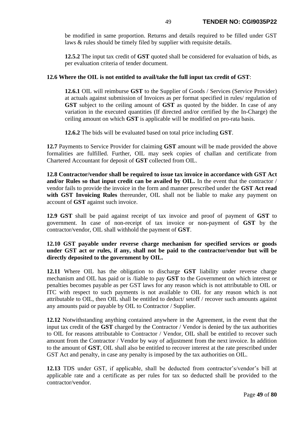be modified in same proportion. Returns and details required to be filled under GST laws & rules should be timely filed by supplier with requisite details.

**12.5.2** The input tax credit of **GST** quoted shall be considered for evaluation of bids, as per evaluation criteria of tender document.

# **12.6 Where the OIL is not entitled to avail/take the full input tax credit of GST**:

**12.6.1** OIL will reimburse **GST** to the Supplier of Goods / Services (Service Provider) at actuals against submission of Invoices as per format specified in rules/ regulation of **GST** subject to the ceiling amount of **GST** as quoted by the bidder. In case of any variation in the executed quantities (If directed and/or certified by the In-Charge) the ceiling amount on which **GST** is applicable will be modified on pro-rata basis.

**12.6.2** The bids will be evaluated based on total price including **GST**.

**12.7** Payments to Service Provider for claiming **GST** amount will be made provided the above formalities are fulfilled. Further, OIL may seek copies of challan and certificate from Chartered Accountant for deposit of **GST** collected from OIL.

**12.8 Contractor/vendor shall be required to issue tax invoice in accordance with GST Act and/or Rules so that input credit can be availed by OIL.** In the event that the contractor / vendor fails to provide the invoice in the form and manner prescribed under the **GST Act read** with GST Invoicing Rules thereunder, OIL shall not be liable to make any payment on account of **GST** against such invoice.

**12.9 GST** shall be paid against receipt of tax invoice and proof of payment of **GST** to government. In case of non-receipt of tax invoice or non-payment of **GST** by the contractor/vendor, OIL shall withhold the payment of **GST**.

# **12.10 GST payable under reverse charge mechanism for specified services or goods under GST act or rules, if any, shall not be paid to the contractor/vendor but will be directly deposited to the government by OIL.**

**12.11** Where OIL has the obligation to discharge **GST** liability under reverse charge mechanism and OIL has paid or is /liable to pay **GST** to the Government on which interest or penalties becomes payable as per GST laws for any reason which is not attributable to OIL or ITC with respect to such payments is not available to OIL for any reason which is not attributable to OIL, then OIL shall be entitled to deduct/ setoff / recover such amounts against any amounts paid or payable by OIL to Contractor / Supplier.

**12.12** Notwithstanding anything contained anywhere in the Agreement, in the event that the input tax credit of the **GST** charged by the Contractor / Vendor is denied by the tax authorities to OIL for reasons attributable to Contractor / Vendor, OIL shall be entitled to recover such amount from the Contractor / Vendor by way of adjustment from the next invoice. In addition to the amount of **GST**, OIL shall also be entitled to recover interest at the rate prescribed under GST Act and penalty, in case any penalty is imposed by the tax authorities on OIL.

**12.13** TDS under GST, if applicable, shall be deducted from contractor's/vendor's bill at applicable rate and a certificate as per rules for tax so deducted shall be provided to the contractor/vendor.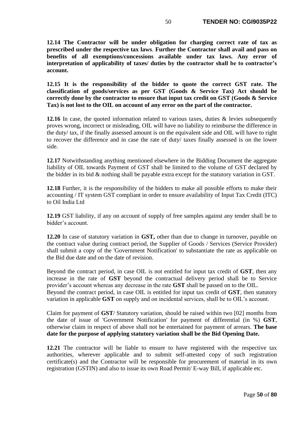**12.14 The Contractor will be under obligation for charging correct rate of tax as prescribed under the respective tax laws**. **Further the Contractor shall avail and pass on benefits of all exemptions/concessions available under tax laws. Any error of interpretation of applicability of taxes/ duties by the contractor shall be to contractor's account.**

**12.15 It is the responsibility of the bidder to quote the correct GST rate. The classification of goods/services as per GST (Goods & Service Tax) Act should be correctly done by the contractor to ensure that input tax credit on GST (Goods & Service Tax) is not lost to the OIL on account of any error on the part of the contractor.** 

**12.16** In case, the quoted information related to various taxes, duties & levies subsequently proves wrong, incorrect or misleading, OIL will have no liability to reimburse the difference in the duty/ tax, if the finally assessed amount is on the equivalent side and OIL will have to right to recover the difference and in case the rate of duty/ taxes finally assessed is on the lower side.

**12.17** Notwithstanding anything mentioned elsewhere in the Bidding Document the aggregate liability of OIL towards Payment of GST shall be limited to the volume of GST declared by the bidder in its bid & nothing shall be payable extra except for the statutory variation in GST.

**12.18** Further, it is the responsibility of the bidders to make all possible efforts to make their accounting / IT system GST compliant in order to ensure availability of Input Tax Credit (ITC) to Oil India Ltd

**12.19** GST liability, if any on account of supply of free samples against any tender shall be to bidder's account.

**12.20** In case of statutory variation in **GST,** other than due to change in turnover, payable on the contract value during contract period, the Supplier of Goods / Services (Service Provider) shall submit a copy of the 'Government Notification' to substantiate the rate as applicable on the Bid due date and on the date of revision.

Beyond the contract period, in case OIL is not entitled for input tax credit of **GST**, then any increase in the rate of **GST** beyond the contractual delivery period shall be to Service provider's account whereas any decrease in the rate **GST** shall be passed on to the OIL. Beyond the contract period, in case OIL is entitled for input tax credit of **GST**, then statutory variation in applicable **GST** on supply and on incidental services, shall be to OIL's account.

Claim for payment of **GST**/ Statutory variation, should be raised within two [02] months from the date of issue of 'Government Notification' for payment of differential (in %) **GST**, otherwise claim in respect of above shall not be entertained for payment of arrears. **The base date for the purpose of applying statutory variation shall be the Bid Opening Date.**

**12.21** The contractor will be liable to ensure to have registered with the respective tax authorities, wherever applicable and to submit self-attested copy of such registration certificate(s) and the Contractor will be responsible for procurement of material in its own registration (GSTIN) and also to issue its own Road Permit/ E-way Bill, if applicable etc.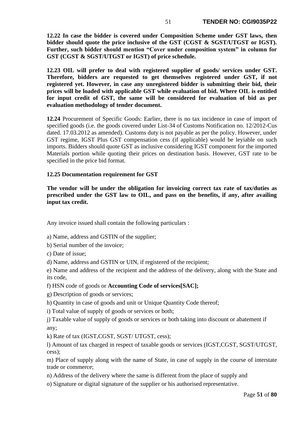**12.22 In case the bidder is covered under Composition Scheme under GST laws, then bidder should quote the price inclusive of the GST (CGST & SGST/UTGST or IGST). Further, such bidder should mention "Cover under composition system" in column for GST (CGST & SGST/UTGST or IGST) of price schedule.** 

**12.23 OIL will prefer to deal with registered supplier of goods/ services under GST. Therefore, bidders are requested to get themselves registered under GST, if not registered yet. However, in case any unregistered bidder is submitting their bid, their prices will be loaded with applicable GST while evaluation of bid. Where OIL is entitled for input credit of GST, the same will be considered for evaluation of bid as per evaluation methodology of tender document.**

**12.24** Procurement of Specific Goods: Earlier, there is no tax incidence in case of import of specified goods (i.e. the goods covered under List-34 of Customs Notification no. 12/2012-Cus dated. 17.03.2012 as amended). Customs duty is not payable as per the policy. However, under GST regime, IGST Plus GST compensation cess (if applicable) would be leyiable on such imports. Bidders should quote GST as inclusive considering IGST component for the imported Materials portion while quoting their prices on destination basis. However, GST rate to be specified in the price bid format.

# **12.25 Documentation requirement for GST**

**The vendor will be under the obligation for invoicing correct tax rate of tax/duties as prescribed under the GST law to OIL, and pass on the benefits, if any, after availing input tax credit.** 

Any invoice issued shall contain the following particulars :

- a) Name, address and GSTIN of the supplier;
- b) Serial number of the invoice;
- c) Date of issue;
- d) Name, address and GSTIN or UIN, if registered of the recipient;

e) Name and address of the recipient and the address of the delivery, along with the State and its code,

- f) HSN code of goods or **Accounting Code of services[SAC];**
- g) Description of goods or services;
- h) Quantity in case of goods and unit or Unique Quantity Code thereof;
- i) Total value of supply of goods or services or both;

j) Taxable value of supply of goods or services or both taking into discount or abatement if any;

k) Rate of tax (IGST,CGST, SGST/ UTGST, cess);

l) Amount of tax charged in respect of taxable goods or services (IGST,CGST, SGST/UTGST, cess);

m) Place of supply along with the name of State, in case of supply in the course of interstate trade or commerce;

- n) Address of the delivery where the same is different from the place of supply and
- o) Signature or digital signature of the supplier or his authorised representative.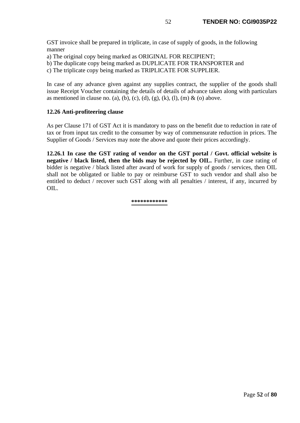GST invoice shall be prepared in triplicate, in case of supply of goods, in the following manner

- a) The original copy being marked as ORIGINAL FOR RECIPIENT;
- b) The duplicate copy being marked as DUPLICATE FOR TRANSPORTER and

c) The triplicate copy being marked as TRIPLICATE FOR SUPPLIER.

In case of any advance given against any supplies contract, the supplier of the goods shall issue Receipt Voucher containing the details of details of advance taken along with particulars as mentioned in clause no. (a), (b), (c), (d), (g), (k), (l), (m) & (o) above.

# **12.26 Anti-profiteering clause**

As per Clause 171 of GST Act it is mandatory to pass on the benefit due to reduction in rate of tax or from input tax credit to the consumer by way of commensurate reduction in prices. The Supplier of Goods / Services may note the above and quote their prices accordingly.

**12.26.1 In case the GST rating of vendor on the GST portal / Govt. official website is negative / black listed, then the bids may be rejected by OIL.** Further, in case rating of bidder is negative / black listed after award of work for supply of goods / services, then OIL shall not be obligated or liable to pay or reimburse GST to such vendor and shall also be entitled to deduct / recover such GST along with all penalties / interest, if any, incurred by OIL.

#### **\*\*\*\*\*\*\*\*\*\*\*\***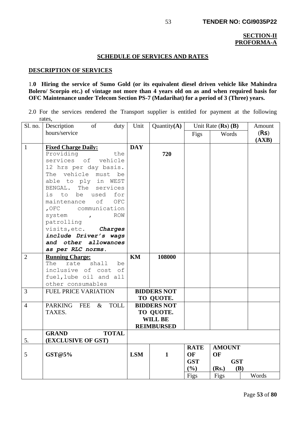### **SECTION-II PROFORMA-A**

### **SCHEDULE OF SERVICES AND RATES**

#### **DESCRIPTION OF SERVICES**

## 1.**0 Hiring the service of Sumo Gold (or its equivalent diesel driven vehicle like Mahindra Bolero/ Scorpio etc.) of vintage not more than 4 years old on as and when required basis for OFC Maintenance under Telecom Section PS-7 (Madarihat) for a period of 3 (Three) years.**

2.0 For the services rendered the Transport supplier is entitled for payment at the following rates,

| Sl. no.        | Description<br><sub>of</sub><br>duty                                                                                                                                                                                                                                                                                                                                                                | Unit       | Quantity $(A)$                                                         |                                                   | Unit Rate $(Rs)$ $(B)$                                    | Amount        |
|----------------|-----------------------------------------------------------------------------------------------------------------------------------------------------------------------------------------------------------------------------------------------------------------------------------------------------------------------------------------------------------------------------------------------------|------------|------------------------------------------------------------------------|---------------------------------------------------|-----------------------------------------------------------|---------------|
|                | hours/service                                                                                                                                                                                                                                                                                                                                                                                       |            |                                                                        | Figs                                              | Words                                                     | (Rs)<br>(AXB) |
| $\mathbf{1}$   | <b>Fixed Charge Daily:</b><br>Providing<br>the<br>services of vehicle<br>12 hrs per day basis.<br>The vehicle<br>must<br>be<br>able to ply in<br>WEST<br>BENGAL. The services<br>be<br>used<br>for<br>is to<br>$\mathop{\sf OFC}\nolimits$<br>of<br>maintenance<br>, OFC<br>communication<br>ROW<br>system ,<br>patrolling<br>visits, etc. Charges<br>include Driver's wags<br>and other allowances | <b>DAY</b> | 720                                                                    |                                                   |                                                           |               |
| $\overline{2}$ | as per RLC norms.<br><b>Running Charge:</b><br>shall<br>The<br>rate<br>be<br>inclusive of cost<br>of<br>fuel, lube oil and all<br>other consumables                                                                                                                                                                                                                                                 | KM         | 108000                                                                 |                                                   |                                                           |               |
| $\overline{3}$ | <b>FUEL PRICE VARIATION</b>                                                                                                                                                                                                                                                                                                                                                                         |            | <b>BIDDERS NOT</b><br>TO QUOTE.                                        |                                                   |                                                           |               |
| $\overline{4}$ | PARKING FEE &<br><b>TOLL</b><br>TAXES.                                                                                                                                                                                                                                                                                                                                                              |            | <b>BIDDERS NOT</b><br>TO QUOTE.<br><b>WILL BE</b><br><b>REIMBURSED</b> |                                                   |                                                           |               |
| 5.             | <b>TOTAL</b><br><b>GRAND</b><br>(EXCLUSIVE OF GST)                                                                                                                                                                                                                                                                                                                                                  |            |                                                                        |                                                   |                                                           |               |
| 5              | GST@5%                                                                                                                                                                                                                                                                                                                                                                                              | <b>LSM</b> | $\mathbf{1}$                                                           | <b>RATE</b><br>OF<br><b>GST</b><br>$(\%)$<br>Figs | <b>AMOUNT</b><br>OF<br><b>GST</b><br>(Rs.)<br>(B)<br>Figs | Words         |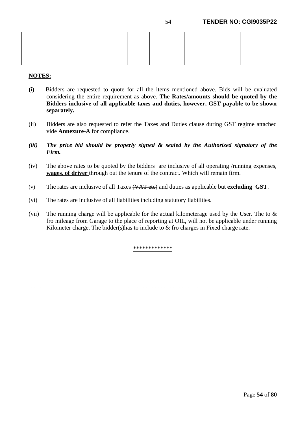## **NOTES:**

- **(i)** Bidders are requested to quote for all the items mentioned above. Bids will be evaluated considering the entire requirement as above. **The Rates/amounts should be quoted by the Bidders inclusive of all applicable taxes and duties, however, GST payable to be shown separately.**
- (ii) Bidders are also requested to refer the Taxes and Duties clause during GST regime attached vide **Annexure-A** for compliance.
- *(iii) The price bid should be properly signed & sealed by the Authorized signatory of the Firm.*
- (iv) The above rates to be quoted by the bidders are inclusive of all operating /running expenses, **wages. of driver** through out the tenure of the contract. Which will remain firm.
- (v) The rates are inclusive of all Taxes (VAT etc) and duties as applicable but **excluding GST**.
- (vi) The rates are inclusive of all liabilities including statutory liabilities.
- (vii) The running charge will be applicable for the actual kilometerage used by the User. The to  $\&$ fro mileage from Garage to the place of reporting at OIL, will not be applicable under running Kilometer charge. The bidder(s) has to include to  $\&$  fro charges in Fixed charge rate.

\*\*\*\*\*\*\*\*\*\*\*\*\*

**\_\_\_\_\_\_\_\_\_\_\_\_\_\_\_\_\_\_\_\_\_\_\_\_\_\_\_\_\_\_\_\_\_\_\_\_\_\_\_\_\_\_\_\_\_\_\_\_\_\_\_\_\_\_\_\_\_\_\_\_\_\_\_\_\_\_\_\_\_\_\_\_\_\_\_\_\_\_\_\_\_**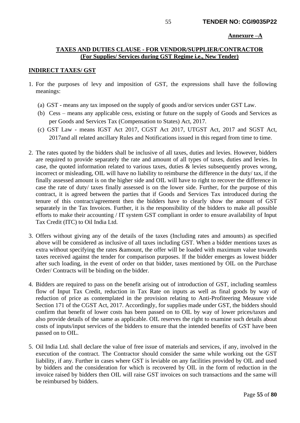#### **Annexure –A**

# **TAXES AND DUTIES CLAUSE - FOR VENDOR/SUPPLIER/CONTRACTOR (For Supplies/ Services during GST Regime i.e., New Tender)**

#### **INDIRECT TAXES/ GST**

- 1. For the purposes of levy and imposition of GST, the expressions shall have the following meanings:
	- (a) GST means any tax imposed on the supply of goods and/or services under GST Law.
	- (b) Cess means any applicable cess, existing or future on the supply of Goods and Services as per Goods and Services Tax (Compensation to States) Act, 2017.
	- (c) GST Law means IGST Act 2017, CGST Act 2017, UTGST Act, 2017 and SGST Act, 2017and all related ancillary Rules and Notifications issued in this regard from time to time.
- 2. The rates quoted by the bidders shall be inclusive of all taxes, duties and levies. However, bidders are required to provide separately the rate and amount of all types of taxes, duties and levies. In case, the quoted information related to various taxes, duties & levies subsequently proves wrong, incorrect or misleading, OIL will have no liability to reimburse the difference in the duty/ tax, if the finally assessed amount is on the higher side and OIL will have to right to recover the difference in case the rate of duty/ taxes finally assessed is on the lower side. Further, for the purpose of this contract, it is agreed between the parties that if Goods and Services Tax introduced during the tenure of this contract/agreement then the bidders have to clearly show the amount of GST separately in the Tax Invoices. Further, it is the responsibility of the bidders to make all possible efforts to make their accounting / IT system GST compliant in order to ensure availability of Input Tax Credit (ITC) to Oil India Ltd.
- 3. Offers without giving any of the details of the taxes (Including rates and amounts) as specified above will be considered as inclusive of all taxes including GST. When a bidder mentions taxes as extra without specifying the rates &amount, the offer will be loaded with maximum value towards taxes received against the tender for comparison purposes. If the bidder emerges as lowest bidder after such loading, in the event of order on that bidder, taxes mentioned by OIL on the Purchase Order/ Contracts will be binding on the bidder.
- 4. Bidders are required to pass on the benefit arising out of introduction of GST, including seamless flow of Input Tax Credit, reduction in Tax Rate on inputs as well as final goods by way of reduction of price as contemplated in the provision relating to Anti-Profiteering Measure vide Section 171 of the CGST Act, 2017. Accordingly, for supplies made under GST, the bidders should confirm that benefit of lower costs has been passed on to OIL by way of lower prices/taxes and also provide details of the same as applicable. OIL reserves the right to examine such details about costs of inputs/input services of the bidders to ensure that the intended benefits of GST have been passed on to OIL.
- 5. Oil India Ltd. shall declare the value of free issue of materials and services, if any, involved in the execution of the contract. The Contractor should consider the same while working out the GST liability, if any. Further in cases where GST is leviable on any facilities provided by OIL and used by bidders and the consideration for which is recovered by OIL in the form of reduction in the invoice raised by bidders then OIL will raise GST invoices on such transactions and the same will be reimbursed by bidders.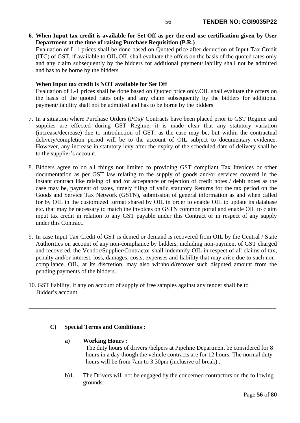**6. When Input tax credit is available for Set Off as per the end use certification given by User Department at the time of raising Purchase Requisition (P.R.)**

Evaluation of L-1 prices shall be done based on Quoted price after deduction of Input Tax Credit (ITC) of GST, if available to OIL.OIL shall evaluate the offers on the basis of the quoted rates only and any claim subsequently by the bidders for additional payment/liability shall not be admitted and has to be borne by the bidders

# **When Input tax credit is NOT available for Set Off**

Evaluation of L-1 prices shall be done based on Quoted price only.OIL shall evaluate the offers on the basis of the quoted rates only and any claim subsequently by the bidders for additional payment/liability shall not be admitted and has to be borne by the bidders

- 7. In a situation where Purchase Orders (POs)/ Contracts have been placed prior to GST Regime and supplies are effected during GST Regime, it is made clear that any statutory variation (increase/decrease) due to introduction of GST, as the case may be, but within the contractual delivery/completion period will be to the account of OIL subject to documentary evidence. However, any increase in statutory levy after the expiry of the scheduled date of delivery shall be to the supplier's account.
- 8. Bidders agree to do all things not limited to providing GST compliant Tax Invoices or other documentation as per GST law relating to the supply of goods and/or services covered in the instant contract like raising of and /or acceptance or rejection of credit notes / debit notes as the case may be, payment of taxes, timely filing of valid statutory Returns for the tax period on the Goods and Service Tax Network (GSTN), submission of general information as and when called for by OIL in the customized format shared by OIL in order to enable OIL to update its database etc. that may be necessary to match the invoices on GSTN common portal and enable OIL to claim input tax credit in relation to any GST payable under this Contract or in respect of any supply under this Contract.
- 9. In case Input Tax Credit of GST is denied or demand is recovered from OIL by the Central / State Authorities on account of any non-compliance by bidders, including non-payment of GST charged and recovered, the Vendor/Supplier/Contractor shall indemnify OIL in respect of all claims of tax, penalty and/or interest, loss, damages, costs, expenses and liability that may arise due to such noncompliance. OIL, at its discretion, may also withhold/recover such disputed amount from the pending payments of the bidders.

\_\_\_\_\_\_\_\_\_\_\_\_\_\_\_\_\_\_\_\_\_\_\_\_\_\_\_\_\_\_\_\_\_\_\_\_\_\_\_\_\_\_\_\_\_\_\_\_\_\_\_\_\_\_\_\_\_\_\_\_\_\_\_\_\_\_\_\_\_\_\_\_\_\_\_\_\_\_\_\_\_\_

10. GST liability, if any on account of supply of free samples against any tender shall be to Bidder's account.

## **C) Special Terms and Conditions :**

## **a) Working Hours :**

The duty hours of drivers /helpers at Pipeline Department be considered for 8 hours in a day though the vehicle contracts are for 12 hours. The normal duty hours will be from 7am to 3.30pm (inclusive of break) .

 b)1. The Drivers will not be engaged by the concerned contractors on the following grounds: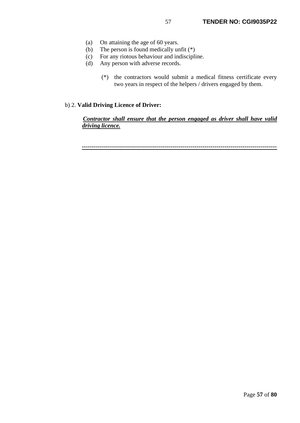- (a) On attaining the age of 60 years.
- (b) The person is found medically unfit (\*)
- (c) For any riotous behaviour and indiscipline.
- (d) Any person with adverse records.
	- (\*) the contractors would submit a medical fitness certificate every two years in respect of the helpers / drivers engaged by them.

## b) 2. **Valid Driving Licence of Driver:**

## *Contractor shall ensure that the person engaged as driver shall have valid driving licence.*

**-------------------------------------------------------------------------------------------------**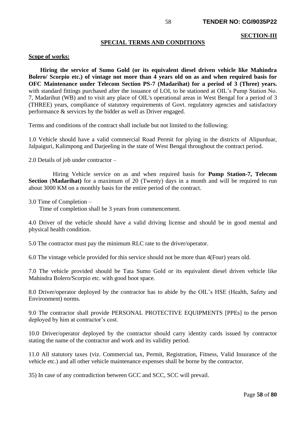#### **SECTION-III**

#### **SPECIAL TERMS AND CONDITIONS**

#### **Scope of works:**

 **Hiring the service of Sumo Gold (or its equivalent diesel driven vehicle like Mahindra Bolero/ Scorpio etc.) of vintage not more than 4 years old on as and when required basis for OFC Maintenance under Telecom Section PS-7 (Madarihat) for a period of 3 (Three) years.** with standard fittings purchased after the issuance of LOI, to be stationed at OIL's Pump Station No. 7, Madarihut (WB) and to visit any place of OIL's operational areas in West Bengal for a period of 3 (THREE) years, compliance of statutory requirements of Govt. regulatory agencies and satisfactory performance & services by the bidder as well as Driver engaged.

Terms and conditions of the contract shall include but not limited to the following:

1.0 Vehicle should have a valid commercial Road Permit for plying in the districts of Alipurduar, Jalpaiguri, Kalimpong and Darjeeling in the state of West Bengal throughout the contract period.

2.0 Details of job under contractor –

 Hiring Vehicle service on as and when required basis for **Pump Station-7, Telecom Section** (**Madarihat)** for a maximum of 20 (Twenty) days in a month and will be required to run about 3000 KM on a monthly basis for the entire period of the contract.

3.0 Time of Completion –

Time of completion shall be 3 years from commencement.

4.0 Driver of the vehicle should have a valid driving license and should be in good mental and physical health condition.

5.0 The contractor must pay the minimum RLC rate to the driver/operator.

6.0 The vintage vehicle provided for this service should not be more than 4(Four) years old.

7.0 The vehicle provided should be Tata Sumo Gold or its equivalent diesel driven vehicle like Mahindra Bolero/Scorpio etc. with good boot space.

8.0 Driver/operator deployed by the contractor has to abide by the OIL's HSE (Health, Safety and Environment) norms.

9.0 The contractor shall provide PERSONAL PROTECTIVE EQUIPMENTS [PPEs] to the person deployed by him at contractor's cost.

10.0 Driver/operator deployed by the contractor should carry identity cards issued by contractor stating the name of the contractor and work and its validity period.

11.0 All statutory taxes (viz. Commercial tax, Permit, Registration, Fitness, Valid Insurance of the vehicle etc.) and all other vehicle maintenance expenses shall be borne by the contractor.

35) In case of any contradiction between GCC and SCC, SCC will prevail.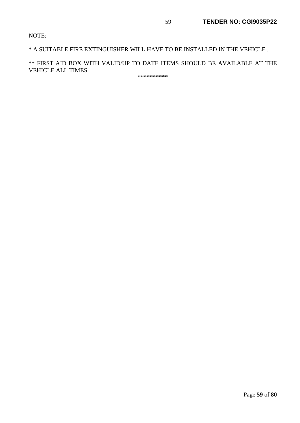NOTE:

\* A SUITABLE FIRE EXTINGUISHER WILL HAVE TO BE INSTALLED IN THE VEHICLE .

\*\* FIRST AID BOX WITH VALID/UP TO DATE ITEMS SHOULD BE AVAILABLE AT THE VEHICLE ALL TIMES.

\*\*\*\*\*\*\*\*\*\*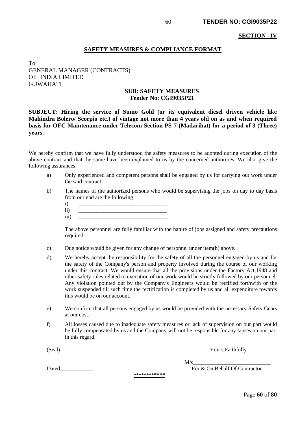#### **SECTION –IV**

### **SAFETY MEASURES & COMPLIANCE FORMAT**

# To GENERAL MANAGER (CONTRACTS) OIL INDIA LIMITED GUWAHATI

### **SUB: SAFETY MEASURES Tender No: CGI9035P21**

**SUBJECT: Hiring the service of Sumo Gold (or its equivalent diesel driven vehicle like Mahindra Bolero/ Scorpio etc.) of vintage not more than 4 years old on as and when required basis for OFC Maintenance under Telecom Section PS-7 (Madarihat) for a period of 3 (Three) years.**

We hereby confirm that we have fully understood the safety measures to be adopted during execution of the above contract and that the same have been explained to us by the concerned authorities. We also give the following assurances.

- a) Only experienced and competent persons shall be engaged by us for carrying out work under the said contract.
- b) The names of the authorized persons who would be supervising the jobs on day to day basis from our end are the following
	- i) \_\_\_\_\_\_\_\_\_\_\_\_\_\_\_\_\_\_\_\_\_\_\_\_\_\_\_\_\_\_\_\_
	- ii) \_\_\_\_\_\_\_\_\_\_\_\_\_\_\_\_\_\_\_\_\_\_\_\_\_\_\_\_\_\_\_\_ iii) \_\_\_\_\_\_\_\_\_\_\_\_\_\_\_\_\_\_\_\_\_\_\_\_\_\_\_\_\_\_\_\_
	- The above personnel are fully familiar with the nature of jobs assigned and safety precautions required.
- c) Due notice would be given for any change of personnel under item(b) above.
- d) We hereby accept the responsibility for the safety of all the personnel engaged by us and for the safety of the Company's person and property involved during the course of our working under this contract. We would ensure that all the provisions under the Factory Act,1948 and other safety rules related to execution of our work would be strictly followed by our personnel. Any violation pointed out by the Company's Engineers would be rectified forthwith or the work suspended till such time the rectification is completed by us and all expenditure towards this would be on our account.
- e) We confirm that all persons engaged by us would be provided with the necessary Safety Gears at our cost.
- f) All losses caused due to inadequate safety measures or lack of supervision on our part would be fully compensated by us and the Company will not be responsible for any lapses on our part in this regard.

(Seal) Yours Faithfully

 $M/s$ 

Dated **Example 2** For & On Behalf Of Contractor

**\*\*\*\*\*\*\*\*\*\*\*\***

Page **60** of **80**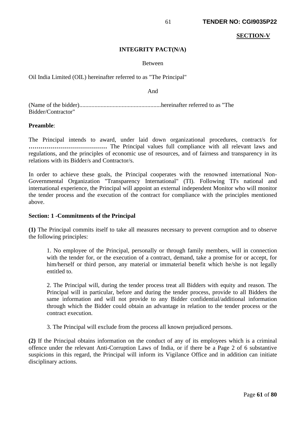#### **SECTION-V**

### **INTEGRITY PACT(N/A)**

#### Between

Oil India Limited (OIL) hereinafter referred to as "The Principal"

And

(Name of the bidder)......................................................hereinafter referred to as "The Bidder/Contractor"

### **Preamble**:

The Principal intends to award, under laid down organizational procedures, contract/s for **…………………………………** The Principal values full compliance with all relevant laws and regulations, and the principles of economic use of resources, and of fairness and transparency in its relations with its Bidder/s and Contractor/s.

In order to achieve these goals, the Principal cooperates with the renowned international Non-Governmental Organization "Transparency International" (TI). Following TI's national and international experience, the Principal will appoint an external independent Monitor who will monitor the tender process and the execution of the contract for compliance with the principles mentioned above.

#### **Section: 1 -Commitments of the Principal**

**(1)** The Principal commits itself to take all measures necessary to prevent corruption and to observe the following principles:

1. No employee of the Principal, personally or through family members, will in connection with the tender for, or the execution of a contract, demand, take a promise for or accept, for him/herself or third person, any material or immaterial benefit which he/she is not legally entitled to.

2. The Principal will, during the tender process treat all Bidders with equity and reason. The Principal will in particular, before and during the tender process, provide to all Bidders the same information and will not provide to any Bidder confidential/additional information through which the Bidder could obtain an advantage in relation to the tender process or the contract execution.

3. The Principal will exclude from the process all known prejudiced persons.

**(2)** If the Principal obtains information on the conduct of any of its employees which is a criminal offence under the relevant Anti-Corruption Laws of India, or if there be a Page 2 of 6 substantive suspicions in this regard, the Principal will inform its Vigilance Office and in addition can initiate disciplinary actions.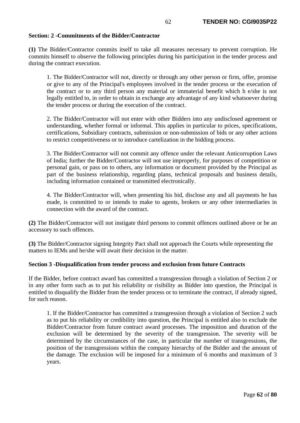## **Section: 2 -Commitments of the Bidder/Contractor**

**(1)** The Bidder/Contractor commits itself to take all measures necessary to prevent corruption. He commits himself to observe the following principles during his participation in the tender process and during the contract execution.

1. The Bidder/Contractor will not, directly or through any other person or firm, offer, promise or give to any of the Principal's employees involved in the tender process or the execution of the contract or to any third person any material or immaterial benefit which h e/she is not legally entitled to, in order to obtain in exchange any advantage of any kind whatsoever during the tender process or during the execution of the contract.

2. The Bidder/Contractor will not enter with other Bidders into any undisclosed agreement or understanding, whether formal or informal. This applies in particular to prices, specifications, certifications, Subsidiary contracts, submission or non-submission of bids or any other actions to restrict competitiveness or to introduce cartelization in the bidding process.

3. The Bidder/Contractor will not commit any offence under the relevant Anticorruption Laws of India; further the Bidder/Contractor will not use improperly, for purposes of competition or personal gain, or pass on to others, any information or document provided by the Principal as part of the business relationship, regarding plans, technical proposals and business details, including information contained or transmitted electronically.

4. The Bidder/Contractor will, when presenting his bid, disclose any and all payments he has made, is committed to or intends to make to agents, brokers or any other intermediaries in connection with the award of the contract.

**(2)** The Bidder/Contractor will not instigate third persons to commit offences outlined above or be an accessory to such offences.

**(3)** The Bidder/Contractor signing Integrity Pact shall not approach the Courts while representing the matters to IEMs and he/she will await their decision in the matter.

## **Section 3 -Disqualification from tender process and exclusion from future Contracts**

If the Bidder, before contract award has committed a transgression through a violation of Section 2 or in any other form such as to put his reliability or risibility as Bidder into question, the Principal is entitled to disqualify the Bidder from the tender process or to terminate the contract, if already signed, for such reason.

1. If the Bidder/Contractor has committed a transgression through a violation of Section 2 such as to put his reliability or credibility into question, the Principal is entitled also to exclude the Bidder/Contractor from future contract award processes. The imposition and duration of the exclusion will be determined by the severity of the transgression. The severity will be determined by the circumstances of the case, in particular the number of transgressions, the position of the transgressions within the company hierarchy of the Bidder and the amount of the damage. The exclusion will be imposed for a minimum of 6 months and maximum of 3 years.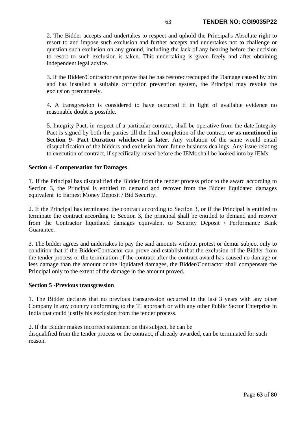2. The Bidder accepts and undertakes to respect and uphold the Principal's Absolute right to resort to and impose such exclusion and further accepts and undertakes not to challenge or question such exclusion on any ground, including the lack of any hearing before the decision to resort to such exclusion is taken. This undertaking is given freely and after obtaining independent legal advice.

3. If the Bidder/Contractor can prove that he has restored/recouped the Damage caused by him and has installed a suitable corruption prevention system, the Principal may revoke the exclusion prematurely.

4. A transgression is considered to have occurred if in light of available evidence no reasonable doubt is possible.

5. Integrity Pact, in respect of a particular contract, shall be operative from the date Integrity Pact is signed by both the parties till the final completion of the contract **or as mentioned in Section 9- Pact Duration whichever is later**. Any violation of the same would entail disqualification of the bidders and exclusion from future business dealings. Any issue relating to execution of contract, if specifically raised before the IEMs shall be looked into by IEMs

## **Section 4 -Compensation for Damages**

1. If the Principal has disqualified the Bidder from the tender process prior to the award according to Section 3, the Principal is entitled to demand and recover from the Bidder liquidated damages equivalent to Earnest Money Deposit / Bid Security.

2. If the Principal has terminated the contract according to Section 3, or if the Principal is entitled to terminate the contract according to Section 3, the principal shall be entitled to demand and recover from the Contractor liquidated damages equivalent to Security Deposit / Performance Bank Guarantee.

3. The bidder agrees and undertakes to pay the said amounts without protest or demur subject only to condition that if the Bidder/Contractor can prove and establish that the exclusion of the Bidder from the tender process or the termination of the contract after the contract award has caused no damage or less damage than the amount or the liquidated damages, the Bidder/Contractor shall compensate the Principal only to the extent of the damage in the amount proved.

#### **Section 5 -Previous transgression**

1. The Bidder declares that no previous transgression occurred in the last 3 years with any other Company in any country conforming to the TI approach or with any other Public Sector Enterprise in India that could justify his exclusion from the tender process.

2. If the Bidder makes incorrect statement on this subject, he can be

disqualified from the tender process or the contract, if already awarded, can be terminated for such reason.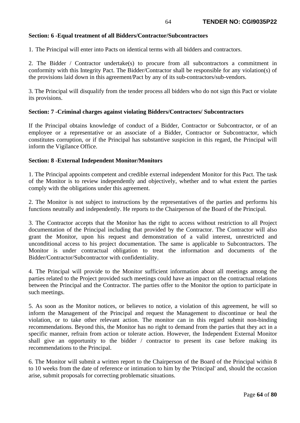## **Section: 6 -Equal treatment of all Bidders/Contractor/Subcontractors**

1. The Principal will enter into Pacts on identical terms with all bidders and contractors.

2. The Bidder / Contractor undertake(s) to procure from all subcontractors a commitment in conformity with this Integrity Pact. The Bidder/Contractor shall be responsible for any violation(s) of the provisions laid down in this agreement/Pact by any of its sub-contractors/sub-vendors.

3. The Principal will disqualify from the tender process all bidders who do not sign this Pact or violate its provisions.

### **Section: 7 -Criminal charges against violating Bidders/Contractors/ Subcontractors**

If the Principal obtains knowledge of conduct of a Bidder, Contractor or Subcontractor, or of an employee or a representative or an associate of a Bidder, Contractor or Subcontractor, which constitutes corruption, or if the Principal has substantive suspicion in this regard, the Principal will inform the Vigilance Office.

### **Section: 8 -External Independent Monitor/Monitors**

1. The Principal appoints competent and credible external independent Monitor for this Pact. The task of the Monitor is to review independently and objectively, whether and to what extent the parties comply with the obligations under this agreement.

2. The Monitor is not subject to instructions by the representatives of the parties and performs his functions neutrally and independently. He reports to the Chairperson of the Board of the Principal.

3. The Contractor accepts that the Monitor has the right to access without restriction to all Project documentation of the Principal including that provided by the Contractor. The Contractor will also grant the Monitor, upon his request and demonstration of a valid interest, unrestricted and unconditional access to his project documentation. The same is applicable to Subcontractors. The Monitor is under contractual obligation to treat the information and documents of the Bidder/Contractor/Subcontractor with confidentiality.

4. The Principal will provide to the Monitor sufficient information about all meetings among the parties related to the Project provided such meetings could have an impact on the contractual relations between the Principal and the Contractor. The parties offer to the Monitor the option to participate in such meetings.

5. As soon as the Monitor notices, or believes to notice, a violation of this agreement, he will so inform the Management of the Principal and request the Management to discontinue or heal the violation, or to take other relevant action. The monitor can in this regard submit non-binding recommendations. Beyond this, the Monitor has no right to demand from the parties that they act in a specific manner, refrain from action or tolerate action. However, the Independent External Monitor shall give an opportunity to the bidder / contractor to present its case before making its recommendations to the Principal.

6. The Monitor will submit a written report to the Chairperson of the Board of the Principal within 8 to 10 weeks from the date of reference or intimation to him by the 'Principal' and, should the occasion arise, submit proposals for correcting problematic situations.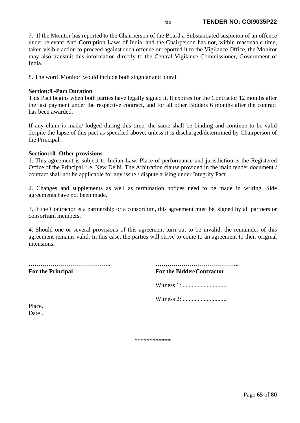7. If the Monitor has reported to the Chairperson of the Board a Substantiated suspicion of an offence under relevant Anti-Corruption Laws of India, and the Chairperson has not, within reasonable time, taken visible action to proceed against such offence or reported it to the Vigilance Office, the Monitor may also transmit this information directly to the Central Vigilance Commissioner, Government of India.

8. The word 'Monitor' would include both singular and plural.

## **Section:9 -Pact Duration**

This Pact begins when both parties have legally signed it. It expires for the Contractor 12 months after the last payment under the respective contract, and for all other Bidders 6 months after the contract has been awarded.

If any claim is made/ lodged during this time, the same shall be binding and continue to be valid despite the lapse of this pact as specified above, unless it is discharged/determined by Chairperson of the Principal.

## **Section:10 -Other provisions**

1. This agreement is subject to Indian Law. Place of performance and jurisdiction is the Registered Office of the Principal, i.e. New Delhi. The Arbitration clause provided in the main tender document / contract shall not be applicable for any issue / dispute arising under Integrity Pact.

2. Changes and supplements as well as termination notices need to be made in writing. Side agreements have not been made.

3. If the Contractor is a partnership or a consortium, this agreement must be, signed by all partners or consortium members.

4. Should one or several provisions of this agreement turn out to be invalid, the remainder of this agreement remains valid. In this case, the parties will strive to come to an agreement to their original intensions.

**………………………………….. …………………………………... For the Principal** 

| <b>For the Bidder/Contractor</b> |  |  |  |  |  |  |  |  |  |  |  |  |  |  |  |  |  |  |  |  |  |  |  |
|----------------------------------|--|--|--|--|--|--|--|--|--|--|--|--|--|--|--|--|--|--|--|--|--|--|--|

Witness 1: .............................

Witness 2: .............................

Place. Date .

\*\*\*\*\*\*\*\*\*\*\*\*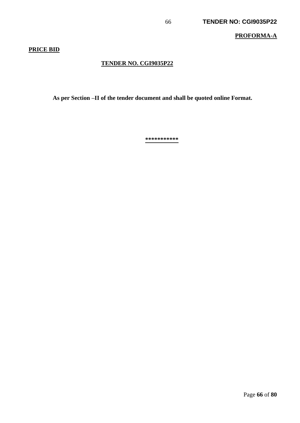## **PROFORMA-A**

# **PRICE BID**

# **TENDER NO. CGI9035P22**

 **As per Section –II of the tender document and shall be quoted online Format.** 

**\*\*\*\*\*\*\*\*\*\*\***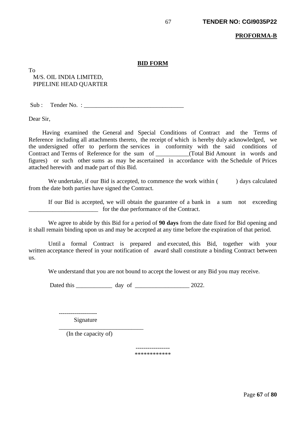#### **PROFORMA-B**

#### **BID FORM**

To M/S. OIL INDIA LIMITED, PIPELINE HEAD QUARTER

 $Sub:$  Tender No. :

Dear Sir,

Having examined the General and Special Conditions of Contract and the Terms of Reference including all attachments thereto, the receipt of which is hereby duly acknowledged, we the undersigned offer to perform the services in conformity with the said conditions of Contract and Terms of Reference for the sum of \_\_\_\_\_\_\_\_\_\_\_(Total Bid Amount in words and figures) or such other sums as may be ascertained in accordance with the Schedule of Prices attached herewith and made part of this Bid.

We undertake, if our Bid is accepted, to commence the work within ( ) days calculated from the date both parties have signed the Contract.

 If our Bid is accepted, we will obtain the guarantee of a bank in a sum not exceeding \_\_\_\_\_\_\_\_\_\_\_\_\_\_\_\_\_\_\_\_\_\_\_ for the due performance of the Contract.

 We agree to abide by this Bid for a period of **90 days** from the date fixed for Bid opening and it shall remain binding upon us and may be accepted at any time before the expiration of that period.

 Until a formal Contract is prepared and executed, this Bid, together with your written acceptance thereof in your notification of award shall constitute a binding Contract between us.

We understand that you are not bound to accept the lowest or any Bid you may receive.

Dated this \_\_\_\_\_\_\_\_\_\_\_\_ day of \_\_\_\_\_\_\_\_\_\_\_\_\_\_\_\_\_\_ 2022.

 ------------------- Signature

 $\frac{1}{\sqrt{2}}$  ,  $\frac{1}{\sqrt{2}}$  ,  $\frac{1}{\sqrt{2}}$  ,  $\frac{1}{\sqrt{2}}$  ,  $\frac{1}{\sqrt{2}}$  ,  $\frac{1}{\sqrt{2}}$  ,  $\frac{1}{\sqrt{2}}$  ,  $\frac{1}{\sqrt{2}}$  ,  $\frac{1}{\sqrt{2}}$  ,  $\frac{1}{\sqrt{2}}$  ,  $\frac{1}{\sqrt{2}}$  ,  $\frac{1}{\sqrt{2}}$  ,  $\frac{1}{\sqrt{2}}$  ,  $\frac{1}{\sqrt{2}}$  ,  $\frac{1}{\sqrt{2}}$ (In the capacity of)

> ----------------- \*\*\*\*\*\*\*\*\*\*\*\*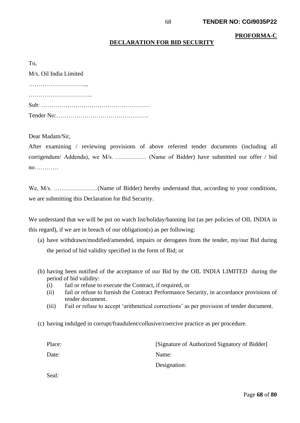**PROFORMA-C**

# **DECLARATION FOR BID SECURITY**

| M/s. Oil India Limited |
|------------------------|
|                        |
|                        |
|                        |
|                        |

Dear Madam/Sir,

After examining / reviewing provisions of above referred tender documents (including all corrigendum/ Addenda), we M/s. …………… (Name of Bidder) have submitted our offer / bid no…………

We, M/s. ………………….(Name of Bidder) hereby understand that, according to your conditions, we are submitting this Declaration for Bid Security.

We understand that we will be put on watch list/holiday/banning list (as per policies of OIL INDIA in this regard), if we are in breach of our obligation(s) as per following:

- (a) have withdrawn/modified/amended, impairs or derogates from the tender, my/our Bid during the period of bid validity specified in the form of Bid; or
- (b) having been notified of the acceptance of our Bid by the OIL INDIA LIMITED during the period of bid validity:
	- (i) fail or refuse to execute the Contract, if required, or
	- (ii) fail or refuse to furnish the Contract Performance Security, in accordance provisions of tender document.
	- (iii) Fail or refuse to accept 'arithmetical corrections' as per provision of tender document.
- (c) having indulged in corrupt/fraudulent/collusive/coercive practice as per procedure.

| Place: | [Signature of Authorized Signatory of Bidder] |
|--------|-----------------------------------------------|
| Date:  | Name:                                         |
|        | Designation:                                  |
| Seal:  |                                               |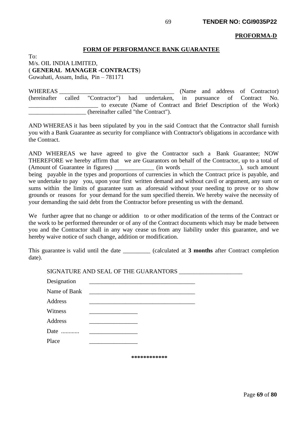#### **PROFORMA-D**

#### **FORM OF PERFORMANCE BANK GUARANTEE**

To: M/s. OIL INDIA LIMITED, ( **GENERAL MANAGER -CONTRACTS**)

Guwahati, Assam, India, Pin – 781171

WHEREAS **EXECUTE:** WHEREAS **EXECUTE:** (Name and address of Contractor) (hereinafter called "Contractor") had undertaken, in pursuance of Contract No. to execute (Name of Contract and Brief Description of the Work) \_\_\_\_\_\_\_\_\_\_\_\_\_\_\_\_\_\_\_ (hereinafter called "the Contract").

AND WHEREAS it has been stipulated by you in the said Contract that the Contractor shall furnish you with a Bank Guarantee as security for compliance with Contractor's obligations in accordance with the Contract.

AND WHEREAS we have agreed to give the Contractor such a Bank Guarantee; NOW THEREFORE we hereby affirm that we are Guarantors on behalf of the Contractor, up to a total of (Amount of Guarantee in figures)  $\qquad \qquad$  (in words  $\qquad$ ), such amount being payable in the types and proportions of currencies in which the Contract price is payable, and we undertake to pay you, upon your first written demand and without cavil or argument, any sum or sums within the limits of guarantee sum as aforesaid without your needing to prove or to show grounds or reasons for your demand for the sum specified therein. We hereby waive the necessity of your demanding the said debt from the Contractor before presenting us with the demand.

We further agree that no change or addition to or other modification of the terms of the Contract or the work to be performed thereunder or of any of the Contract documents which may be made between you and the Contractor shall in any way cease us from any liability under this guarantee, and we hereby waive notice of such change, addition or modification.

This guarantee is valid until the date (calculated at **3 months** after Contract completion date).

SIGNATURE AND SEAL OF THE GUARANTORS \_\_\_\_\_\_\_\_\_\_\_\_\_\_\_\_\_\_\_\_\_ Designation

| DUSIGNON     |                                            |  |
|--------------|--------------------------------------------|--|
| Name of Bank | <u> 1989 - Johann Stein, mars et al. (</u> |  |
| Address      |                                            |  |
| Witness      |                                            |  |
| Address      |                                            |  |
| Date         |                                            |  |
| Place        |                                            |  |

**\*\*\*\*\*\*\*\*\*\*\*\***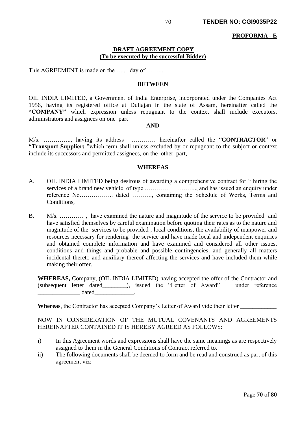#### **PROFORMA - E**

### **DRAFT AGREEMENT COPY (To be executed by the successful Bidder)**

This AGREEMENT is made on the ..... day of .......

#### **BETWEEN**

OIL INDIA LIMITED, a Government of India Enterprise, incorporated under the Companies Act 1956, having its registered office at Duliajan in the state of Assam, hereinafter called the **"COMPANY"** which expression unless repugnant to the context shall include executors, administrators and assignees on one part

### **AND**

M/s. ………….., having its address ………… hereinafter called the "**CONTRACTOR**" or **"Transport Supplier:** "which term shall unless excluded by or repugnant to the subject or context include its successors and permitted assignees, on the other part,

#### **WHEREAS**

- A. OIL INDIA LIMITED being desirous of awarding a comprehensive contract for " hiring the services of a brand new vehicle of type …………………….., and has issued an enquiry under reference No…………….. dated ………., containing the Schedule of Works, Terms and Conditions,
- B. M/s. ............, have examined the nature and magnitude of the service to be provided and have satisfied themselves by careful examination before quoting their rates as to the nature and magnitude of the services to be provided , local conditions, the availability of manpower and resources necessary for rendering the service and have made local and independent enquiries and obtained complete information and have examined and considered all other issues, conditions and things and probable and possible contingencies, and generally all matters incidental thereto and auxiliary thereof affecting the services and have included them while making their offer.

**WHEREAS,** Company, (OIL INDIA LIMITED) having accepted the offer of the Contractor and (subsequent letter dated\_\_\_\_\_\_\_\_), issued the "Letter of Award" under reference  $dataed$ 

Whereas, the Contractor has accepted Company's Letter of Award vide their letter \_\_\_\_\_\_\_\_\_\_\_\_\_\_\_\_\_\_\_\_\_\_\_\_\_\_\_\_\_\_

NOW IN CONSIDERATION OF THE MUTUAL COVENANTS AND AGREEMENTS HEREINAFTER CONTAINED IT IS HEREBY AGREED AS FOLLOWS:

- i) In this Agreement words and expressions shall have the same meanings as are respectively assigned to them in the General Conditions of Contract referred to.
- ii) The following documents shall be deemed to form and be read and construed as part of this agreement viz: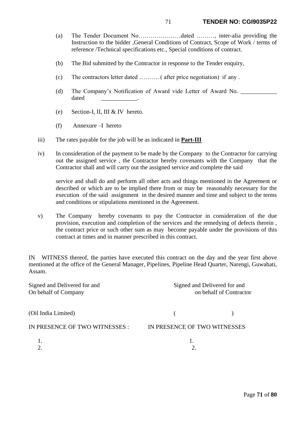- (a) The Tender Document No…………………dated ………, inter-alia providing the Instruction to the bidder ,General Conditions of Contract, Scope of Work / terms of reference /Technical specifications etc., Special conditions of contract.
- (b) The Bid submitted by the Contractor in response to the Tender enquiry,
- (c) The contractors letter dated ………. ( after price negotiation) if any .
- (d) The Company's Notification of Award vide Letter of Award No. dated \_\_\_\_\_\_\_\_\_\_\_\_.
- (e) Section-I, II, III & IV hereto.
- (f) Annexure –I hereto
- iii) The rates payable for the job will be as indicated in **Part-III**
- iv) In consideration of the payment to be made by the Company to the Contractor for carrying out the assigned service , the Contractor hereby covenants with the Company that the Contractor shall and will carry out the assigned service and complete the said

service and shall do and perform all other acts and things mentioned in the Agreement or described or which are to be implied there from or may be reasonably necessary for the execution of the said assignment in the desired manner and time and subject to the terms and conditions or stipulations mentioned in the Agreement.

v) The Company hereby covenants to pay the Contractor in consideration of the due provision, execution and completion of the services and the remedying of defects therein , the contract price or such other sum as may become payable under the provisions of this contract at times and in manner prescribed in this contract.

IN WITNESS thereof, the parties have executed this contract on the day and the year first above mentioned at the office of the General Manager, Pipelines, Pipeline Head Quarter, Narengi, Guwahati, Assam.

Signed and Delivered for and Signed and Delivered for and On behalf of Company on behalf of Contractor (Oil India Limited) ( ) IN PRESENCE OF TWO WITNESSES : IN PRESENCE OF TWO WITNESSES 1. 1. 2.  $\hspace{1.5cm}$  2.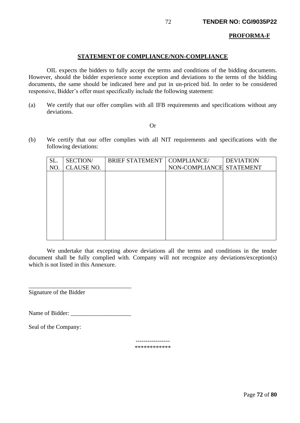### **PROFORMA-F**

### **STATEMENT OF COMPLIANCE/NON-COMPLIANCE**

OIL expects the bidders to fully accept the terms and conditions of the bidding documents. However, should the bidder experience some exception and deviations to the terms of the bidding documents, the same should be indicated here and put in un-priced bid. In order to be considered responsive, Bidder's offer must specifically include the following statement:

(a) We certify that our offer complies with all IFB requirements and specifications without any deviations.

#### Or

(b) We certify that our offer complies with all NIT requirements and specifications with the following deviations:

| SL. | SECTION/          | <b>BRIEF STATEMENT</b> | COMPLIANCE/              | <b>DEVIATION</b> |
|-----|-------------------|------------------------|--------------------------|------------------|
| NO. | <b>CLAUSE NO.</b> |                        | NON-COMPLIANCE STATEMENT |                  |
|     |                   |                        |                          |                  |
|     |                   |                        |                          |                  |
|     |                   |                        |                          |                  |
|     |                   |                        |                          |                  |
|     |                   |                        |                          |                  |
|     |                   |                        |                          |                  |
|     |                   |                        |                          |                  |
|     |                   |                        |                          |                  |
|     |                   |                        |                          |                  |
|     |                   |                        |                          |                  |

We undertake that excepting above deviations all the terms and conditions in the tender document shall be fully complied with. Company will not recognize any deviations/exception(s) which is not listed in this Annexure.

Signature of the Bidder

Name of Bidder: \_\_\_\_\_\_\_\_\_\_\_\_\_\_\_\_\_\_\_\_

\_\_\_\_\_\_\_\_\_\_\_\_\_\_\_\_\_\_\_\_\_\_\_\_\_\_\_\_\_\_\_\_\_\_

Seal of the Company:

----------------- \*\*\*\*\*\*\*\*\*\*\*\*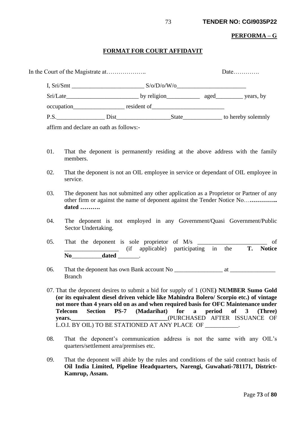#### **PERFORMA – G**

#### **FORMAT FOR COURT AFFIDAVIT**

|  | I, Sri/Smt  |  |                                                                                                                                                                                                                                | S/O/D/O/W/O |  |                    |
|--|-------------|--|--------------------------------------------------------------------------------------------------------------------------------------------------------------------------------------------------------------------------------|-------------|--|--------------------|
|  |             |  |                                                                                                                                                                                                                                |             |  | $\equiv$ years, by |
|  | occupation_ |  | resident of                                                                                                                                                                                                                    |             |  |                    |
|  | P.S.        |  | Dist and the District of the Second Second Second Second Second Second Second Second Second Second Second Second Second Second Second Second Second Second Second Second Second Second Second Second Second Second Second Seco | State       |  | to hereby solemnly |
|  |             |  |                                                                                                                                                                                                                                |             |  |                    |

affirm and declare an oath as follows:-

- 01. That the deponent is permanently residing at the above address with the family members.
- 02. That the deponent is not an OIL employee in service or dependant of OIL employee in service.
- 03. The deponent has not submitted any other application as a Proprietor or Partner of any other firm or against the name of deponent against the Tender Notice No…**………….. dated ……….**
- 04. The deponent is not employed in any Government/Quasi Government/Public Sector Undertaking.
- 05. That the deponent is sole proprietor of  $M/s$  \_\_\_\_\_\_\_\_\_\_\_\_\_\_\_\_\_\_\_\_\_\_\_\_ of \_\_\_\_\_\_\_\_\_\_\_\_\_\_\_\_\_\_ (if applicable) participating in the **T. Notice No**\_\_\_\_\_\_\_\_\_\_**dated** \_\_\_\_\_\_\_.
- 06. That the deponent has own Bank account No \_\_\_\_\_\_\_\_\_\_\_\_\_\_\_\_ at \_\_\_\_\_\_\_\_\_\_\_\_\_\_\_ Branch
- 07. That the deponent desires to submit a bid for supply of 1 (ONE**) NUMBER Sumo Gold (or its equivalent diesel driven vehicle like Mahindra Bolero/ Scorpio etc.) of vintage not more than 4 years old on as and when required basis for OFC Maintenance under Telecom Section PS-7 (Madarihat) for a period of 3 (Three) years.\_\_\_\_\_\_\_\_\_\_\_\_\_\_\_\_\_\_\_\_\_\_\_\_\_\_\_\_\_\_\_\_**(PURCHASED AFTER ISSUANCE OF L.O.I. BY OIL) TO BE STATIONED AT ANY PLACE OF \_\_\_\_\_\_\_\_\_\_\_.
- 08. That the deponent's communication address is not the same with any OIL's quarters/settlement area/premises etc.
- 09. That the deponent will abide by the rules and conditions of the said contract basis of **Oil India Limited, Pipeline Headquarters, Narengi, Guwahati-781171, District-Kamrup, Assam.**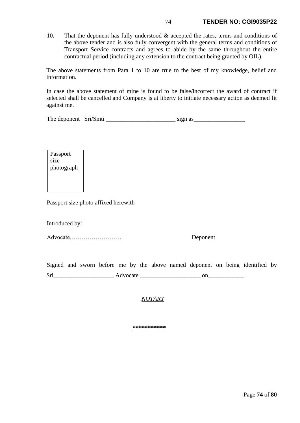10. That the deponent has fully understood & accepted the rates, terms and conditions of the above tender and is also fully convergent with the general terms and conditions of Transport Service contracts and agrees to abide by the same throughout the entire contractual period (including any extension to the contract being granted by OIL).

The above statements from Para 1 to 10 are true to the best of my knowledge, belief and information.

In case the above statement of mine is found to be false/incorrect the award of contract if selected shall be cancelled and Company is at liberty to initiate necessary action as deemed fit against me.

| The deponent Sri/Smti |  | sign as |
|-----------------------|--|---------|
|-----------------------|--|---------|

Passport size photograph

Passport size photo affixed herewith

Introduced by:

Advocate,……………………. Deponent

Signed and sworn before me by the above named deponent on being identified by Sri\_\_\_\_\_\_\_\_\_\_\_\_\_\_\_\_\_\_\_\_ Advocate \_\_\_\_\_\_\_\_\_\_\_\_\_\_\_\_\_\_\_\_ on\_\_\_\_\_\_\_\_\_\_\_\_.

*NOTARY*

**\*\*\*\*\*\*\*\*\*\*\***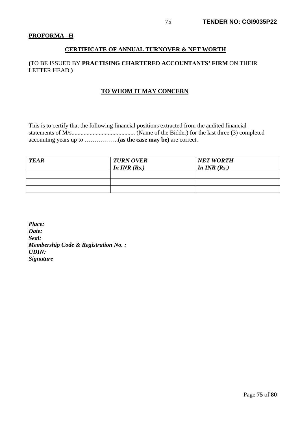### **PROFORMA –H**

### **CERTIFICATE OF ANNUAL TURNOVER & NET WORTH**

### **(**TO BE ISSUED BY **PRACTISING CHARTERED ACCOUNTANTS' FIRM** ON THEIR LETTER HEAD **)**

### **TO WHOM IT MAY CONCERN**

This is to certify that the following financial positions extracted from the audited financial statements of M/s.......................................... (Name of the Bidder) for the last three (3) completed accounting years up to ……………..**(as the case may be)** are correct.

| <b>YEAR</b> | <b>TURN OVER</b><br>In $INR(Rs.)$ | <b>NET WORTH</b><br>In $INR(Rs.)$ |
|-------------|-----------------------------------|-----------------------------------|
|             |                                   |                                   |
|             |                                   |                                   |
|             |                                   |                                   |

*Place: Date: Seal: Membership Code & Registration No. : UDIN: Signature*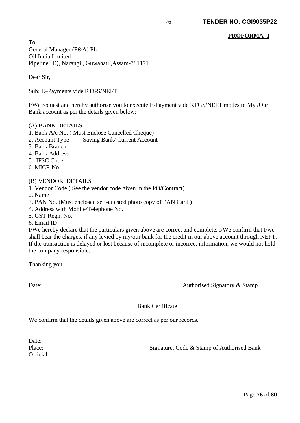### **PROFORMA -I**

To, General Manager (F&A) PL Oil India Limited Pipeline HQ, Narangi , Guwahati ,Assam-781171

Dear Sir,

Sub: E–Payments vide RTGS/NEFT

I/We request and hereby authorise you to execute E-Payment vide RTGS/NEFT modes to My /Our Bank account as per the details given below:

#### (A) BANK DETAILS

- 1. Bank A/c No. ( Must Enclose Cancelled Cheque)
- 2. Account Type Saving Bank/ Current Account
- 3. Bank Branch
- 4. Bank Address
- 5. IFSC Code
- 6. MICR No.

#### (B) VENDOR DETAILS :

- 1. Vendor Code ( See the vendor code given in the PO/Contract)
- 2. Name
- 3. PAN No. (Must enclosed self-attested photo copy of PAN Card )
- 4. Address with Mobile/Telephone No.
- 5. GST Regn. No.
- 6. Email ID

I/We hereby declare that the particulars given above are correct and complete. I/We confirm that I/we shall bear the charges, if any levied by my/our bank for the credit in our above account through NEFT. If the transaction is delayed or lost because of incomplete or incorrect information, we would not hold the company responsible.

Thanking you,

Date: Authorised Signatory & Stamp

Bank Certificate

……………………………………………………………………………………………………………

We confirm that the details given above are correct as per our records.

Date: **Official** 

Place: Signature, Code & Stamp of Authorised Bank

 $\frac{1}{\sqrt{2}}$  ,  $\frac{1}{\sqrt{2}}$  ,  $\frac{1}{\sqrt{2}}$  ,  $\frac{1}{\sqrt{2}}$  ,  $\frac{1}{\sqrt{2}}$  ,  $\frac{1}{\sqrt{2}}$  ,  $\frac{1}{\sqrt{2}}$  ,  $\frac{1}{\sqrt{2}}$  ,  $\frac{1}{\sqrt{2}}$  ,  $\frac{1}{\sqrt{2}}$  ,  $\frac{1}{\sqrt{2}}$  ,  $\frac{1}{\sqrt{2}}$  ,  $\frac{1}{\sqrt{2}}$  ,  $\frac{1}{\sqrt{2}}$  ,  $\frac{1}{\sqrt{2}}$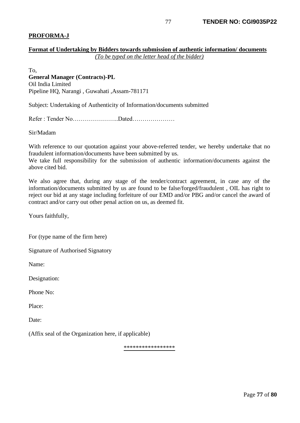### **PROFORMA-J**

### **Format of Undertaking by Bidders towards submission of authentic information/ documents** *(To be typed on the letter head of the bidder)*

To, **General Manager (Contracts)-PL** Oil India Limited Pipeline HQ, Narangi , Guwahati ,Assam-781171

Subject: Undertaking of Authenticity of Information/documents submitted

Refer : Tender No…………………..Dated…………………

Sir/Madam

With reference to our quotation against your above-referred tender, we hereby undertake that no fraudulent information/documents have been submitted by us.

We take full responsibility for the submission of authentic information/documents against the above cited bid.

We also agree that, during any stage of the tender/contract agreement, in case any of the information/documents submitted by us are found to be false/forged/fraudulent , OIL has right to reject our bid at any stage including forfeiture of our EMD and/or PBG and/or cancel the award of contract and/or carry out other penal action on us, as deemed fit.

Yours faithfully,

For (type name of the firm here)

Signature of Authorised Signatory

Name:

Designation:

Phone No:

Place:

Date:

(Affix seal of the Organization here, if applicable)

\*\*\*\*\*\*\*\*\*\*\*\*\*\*\*\*\*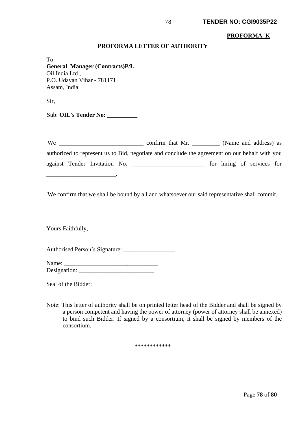#### **PROFORMA–K**

#### **PROFORMA LETTER OF AUTHORITY**

To **General Manager (Contracts)P/L** Oil India Ltd., P.O. Udayan Vihar - 781171 Assam, India

Sir,

Sub: **OIL's Tender No:** 

\_\_\_\_\_\_\_\_\_\_\_\_\_\_\_\_\_\_\_\_\_\_\_.

We \_\_\_\_\_\_\_\_\_\_\_\_\_\_\_\_\_\_\_\_\_\_\_\_\_\_\_\_ confirm that Mr. \_\_\_\_\_\_\_\_\_ (Name and address) as authorized to represent us to Bid, negotiate and conclude the agreement on our behalf with you against Tender Invitation No. \_\_\_\_\_\_\_\_\_\_\_\_\_\_\_\_\_\_\_\_\_\_\_\_ for hiring of services for

We confirm that we shall be bound by all and whatsoever our said representative shall commit.

Yours Faithfully,

Authorised Person's Signature: \_\_\_\_\_\_\_\_\_\_\_\_\_\_\_\_\_

Name: \_\_\_\_\_\_\_\_\_\_\_\_\_\_\_\_\_\_\_\_\_\_\_\_\_\_\_\_\_\_\_ Designation: \_\_\_\_\_\_\_\_\_\_\_\_\_\_\_\_\_\_\_\_\_\_\_\_\_

Seal of the Bidder:

Note: This letter of authority shall be on printed letter head of the Bidder and shall be signed by a person competent and having the power of attorney (power of attorney shall be annexed) to bind such Bidder. If signed by a consortium, it shall be signed by members of the consortium.

\*\*\*\*\*\*\*\*\*\*\*\*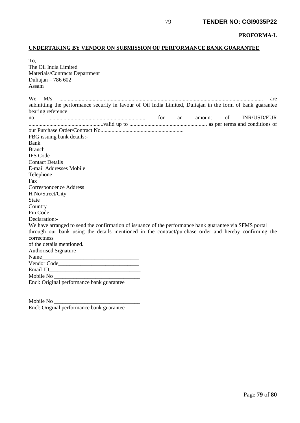#### **PROFORMA-L**

## **UNDERTAKING BY VENDOR ON SUBMISSION OF PERFORMANCE BANK GUARANTEE**

| To,                                                                                                        |    |        |    |                    |
|------------------------------------------------------------------------------------------------------------|----|--------|----|--------------------|
| The Oil India Limited                                                                                      |    |        |    |                    |
| Materials/Contracts Department                                                                             |    |        |    |                    |
| Duliajan $-786602$                                                                                         |    |        |    |                    |
| Assam                                                                                                      |    |        |    |                    |
|                                                                                                            |    |        |    |                    |
| We<br>M/s                                                                                                  |    |        |    | are                |
| submitting the performance security in favour of Oil India Limited, Duliajan in the form of bank guarantee |    |        |    |                    |
| bearing reference                                                                                          |    |        |    |                    |
| $\eta$ $\eta$ $\eta$ $\eta$ $\eta$ $\eta$ $\eta$ $\eta$                                                    | an | amount | of | <b>INR/USD/EUR</b> |
|                                                                                                            |    |        |    |                    |
|                                                                                                            |    |        |    |                    |
| PBG issuing bank details:-                                                                                 |    |        |    |                    |
| Bank                                                                                                       |    |        |    |                    |
| <b>Branch</b>                                                                                              |    |        |    |                    |
| <b>IFS Code</b>                                                                                            |    |        |    |                    |
| <b>Contact Details</b>                                                                                     |    |        |    |                    |
| E-mail Addresses Mobile                                                                                    |    |        |    |                    |
| Telephone                                                                                                  |    |        |    |                    |
| Fax                                                                                                        |    |        |    |                    |
| <b>Correspondence Address</b>                                                                              |    |        |    |                    |
| H No/Street/City                                                                                           |    |        |    |                    |
| <b>State</b>                                                                                               |    |        |    |                    |
| Country                                                                                                    |    |        |    |                    |
| Pin Code                                                                                                   |    |        |    |                    |
| Declaration:-                                                                                              |    |        |    |                    |
| We have arranged to send the confirmation of issuance of the performance bank guarantee via SFMS portal    |    |        |    |                    |
| through our bank using the details mentioned in the contract/purchase order and hereby confirming the      |    |        |    |                    |
| correctness                                                                                                |    |        |    |                    |
| of the details mentioned.                                                                                  |    |        |    |                    |
|                                                                                                            |    |        |    |                    |
|                                                                                                            |    |        |    |                    |
|                                                                                                            |    |        |    |                    |
|                                                                                                            |    |        |    |                    |
|                                                                                                            |    |        |    |                    |
| Encl: Original performance bank guarantee                                                                  |    |        |    |                    |
|                                                                                                            |    |        |    |                    |

Mobile No \_ Encl: Original performance bank guarantee